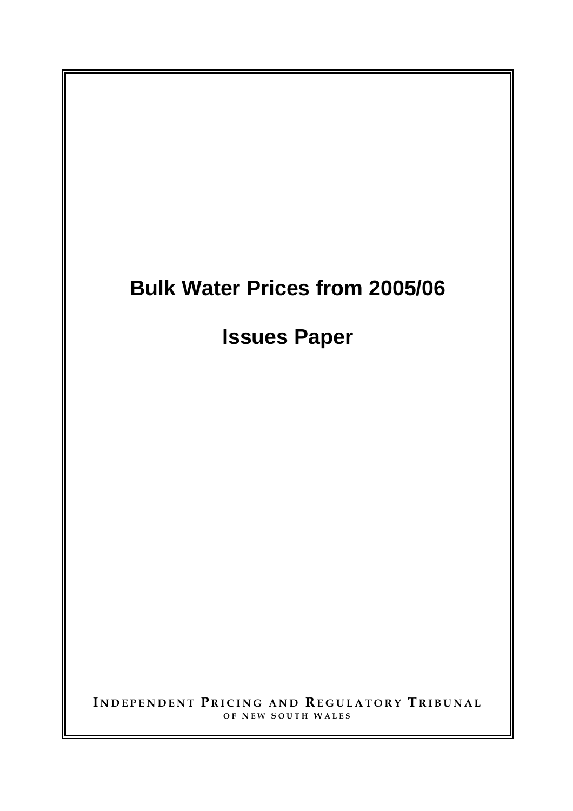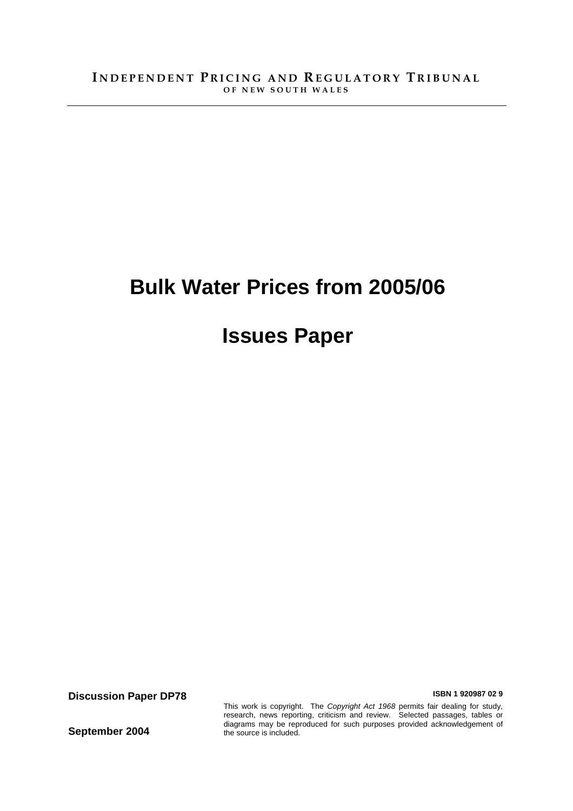# **Bulk Water Prices from 2005/06**

# **Issues Paper**

**Discussion Paper DP78 ISBN 1 920987 02 9** 

**September 2004** 

This work is copyright. The *Copyright Act 1968* permits fair dealing for study, research, news reporting, criticism and review. Selected passages, tables or diagrams may be reproduced for such purposes provided acknowledgement of the source is included.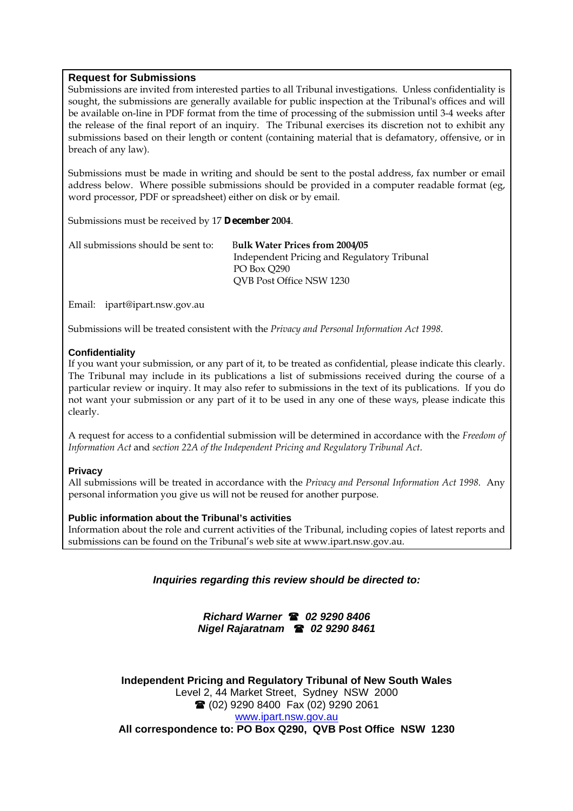#### **Request for Submissions**

Submissions are invited from interested parties to all Tribunal investigations. Unless confidentiality is sought, the submissions are generally available for public inspection at the Tribunal's offices and will be available on-line in PDF format from the time of processing of the submission until 3-4 weeks after the release of the final report of an inquiry. The Tribunal exercises its discretion not to exhibit any submissions based on their length or content (containing material that is defamatory, offensive, or in breach of any law).

Submissions must be made in writing and should be sent to the postal address, fax number or email address below. Where possible submissions should be provided in a computer readable format (eg, word processor, PDF or spreadsheet) either on disk or by email.

Submissions must be received by 17 **December 2004**.

| All submissions should be sent to: | <b>Bulk Water Prices from 2004/05</b>       |  |
|------------------------------------|---------------------------------------------|--|
|                                    | Independent Pricing and Regulatory Tribunal |  |
|                                    | PO Box 0290                                 |  |
|                                    | QVB Post Office NSW 1230                    |  |

Email: ipart@ipart.nsw.gov.au

Submissions will be treated consistent with the *Privacy and Personal Information Act 1998*.

#### **Confidentiality**

If you want your submission, or any part of it, to be treated as confidential, please indicate this clearly. The Tribunal may include in its publications a list of submissions received during the course of a particular review or inquiry. It may also refer to submissions in the text of its publications. If you do not want your submission or any part of it to be used in any one of these ways, please indicate this clearly.

A request for access to a confidential submission will be determined in accordance with the *Freedom of Information Act* and *section 22A of the Independent Pricing and Regulatory Tribunal Act*.

#### **Privacy**

All submissions will be treated in accordance with the *Privacy and Personal Information Act 1998*. Any personal information you give us will not be reused for another purpose.

#### **Public information about the Tribunal's activities**

Information about the role and current activities of the Tribunal, including copies of latest reports and submissions can be found on the Tribunal's web site at www.ipart.nsw.gov.au.

*Inquiries regarding this review should be directed to:* 

*Richard Warner 02 9290 8406 Nigel Rajaratnam 02 9290 8461* 

**Independent Pricing and Regulatory Tribunal of New South Wales**  Level 2, 44 Market Street, Sydney NSW 2000 (02) 9290 8400 Fax (02) 9290 2061 www.ipart.nsw.gov.au **All correspondence to: PO Box Q290, QVB Post Office NSW 1230**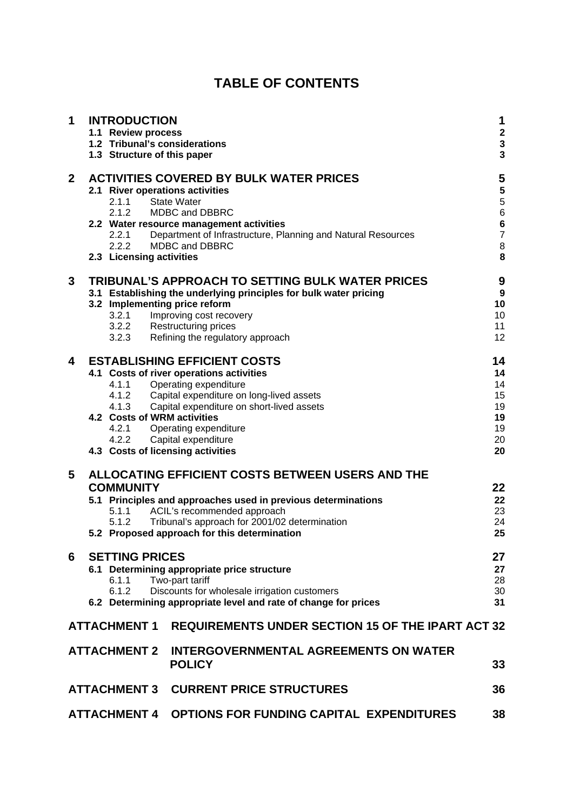# **TABLE OF CONTENTS**

| 1            | <b>INTRODUCTION</b><br>1.1 Review process<br>1.2 Tribunal's considerations<br>1.3 Structure of this paper |                       |                                                                                                                                   | 1<br>$\frac{2}{3}$<br>$\overline{\mathbf{3}}$ |
|--------------|-----------------------------------------------------------------------------------------------------------|-----------------------|-----------------------------------------------------------------------------------------------------------------------------------|-----------------------------------------------|
| $\mathbf{2}$ |                                                                                                           | 2.1.2                 | <b>ACTIVITIES COVERED BY BULK WATER PRICES</b><br>2.1 River operations activities<br>2.1.1 State Water<br>MDBC and DBBRC          | 5<br>55667                                    |
|              |                                                                                                           | 2.2.1<br>2.2.2        | 2.2 Water resource management activities<br>Department of Infrastructure, Planning and Natural Resources<br><b>MDBC and DBBRC</b> | 8                                             |
|              |                                                                                                           |                       | 2.3 Licensing activities                                                                                                          | 8                                             |
| 3            |                                                                                                           |                       | TRIBUNAL'S APPROACH TO SETTING BULK WATER PRICES                                                                                  | 9                                             |
|              |                                                                                                           |                       | 3.1 Establishing the underlying principles for bulk water pricing<br>3.2 Implementing price reform                                | $\boldsymbol{9}$<br>10                        |
|              |                                                                                                           | 3.2.1                 | Improving cost recovery                                                                                                           | 10                                            |
|              |                                                                                                           |                       | 3.2.2 Restructuring prices                                                                                                        | 11                                            |
|              |                                                                                                           |                       | 3.2.3 Refining the regulatory approach                                                                                            | 12                                            |
| 4            |                                                                                                           |                       | <b>ESTABLISHING EFFICIENT COSTS</b>                                                                                               | 14                                            |
|              |                                                                                                           |                       | 4.1 Costs of river operations activities                                                                                          | 14                                            |
|              |                                                                                                           |                       | 4.1.1 Operating expenditure                                                                                                       | 14                                            |
|              |                                                                                                           |                       | 4.1.2 Capital expenditure on long-lived assets<br>4.1.3 Capital expenditure on short-lived assets                                 | 15<br>19                                      |
|              |                                                                                                           |                       | 4.2 Costs of WRM activities                                                                                                       | 19                                            |
|              |                                                                                                           |                       | 4.2.1 Operating expenditure                                                                                                       | 19                                            |
|              |                                                                                                           |                       | 4.2.2 Capital expenditure                                                                                                         | 20                                            |
|              |                                                                                                           |                       | 4.3 Costs of licensing activities                                                                                                 | 20                                            |
| 5            |                                                                                                           |                       | ALLOCATING EFFICIENT COSTS BETWEEN USERS AND THE                                                                                  |                                               |
|              |                                                                                                           | <b>COMMUNITY</b>      |                                                                                                                                   | 22                                            |
|              |                                                                                                           |                       | 5.1 Principles and approaches used in previous determinations                                                                     | 22                                            |
|              |                                                                                                           | 5.1.1                 | ACIL's recommended approach                                                                                                       | 23                                            |
|              |                                                                                                           | 5.1.2                 | Tribunal's approach for 2001/02 determination<br>5.2 Proposed approach for this determination                                     | 24<br>25                                      |
| 6            |                                                                                                           | <b>SETTING PRICES</b> |                                                                                                                                   | 27                                            |
|              |                                                                                                           |                       | 6.1 Determining appropriate price structure                                                                                       | 27                                            |
|              |                                                                                                           | 6.1.1                 | Two-part tariff                                                                                                                   | 28                                            |
|              |                                                                                                           | 6.1.2                 | Discounts for wholesale irrigation customers                                                                                      | 30                                            |
|              |                                                                                                           |                       | 6.2 Determining appropriate level and rate of change for prices                                                                   | 31                                            |
|              |                                                                                                           | <b>ATTACHMENT 1</b>   | <b>REQUIREMENTS UNDER SECTION 15 OF THE IPART ACT 32</b>                                                                          |                                               |
|              |                                                                                                           | <b>ATTACHMENT 2</b>   | <b>INTERGOVERNMENTAL AGREEMENTS ON WATER</b><br><b>POLICY</b>                                                                     | 33                                            |
|              |                                                                                                           | <b>ATTACHMENT 3</b>   | <b>CURRENT PRICE STRUCTURES</b>                                                                                                   | 36                                            |
|              |                                                                                                           | <b>ATTACHMENT 4</b>   | <b>OPTIONS FOR FUNDING CAPITAL EXPENDITURES</b>                                                                                   | 38                                            |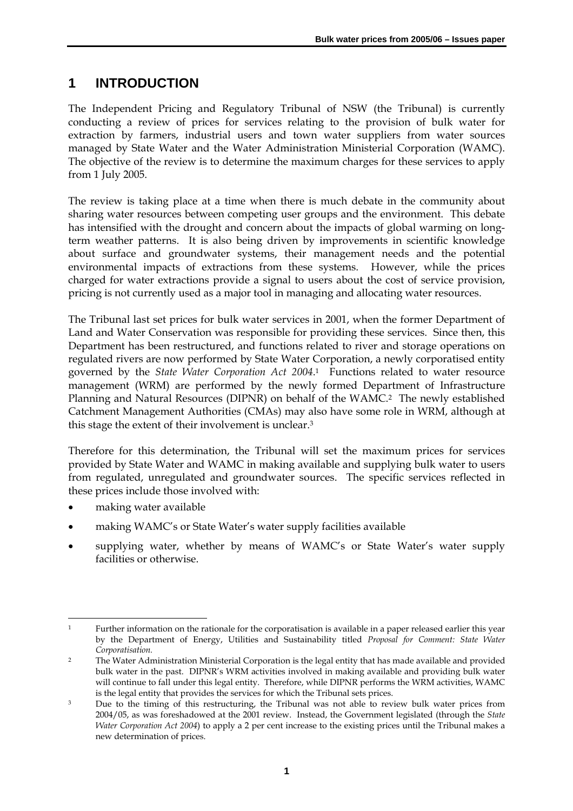# **1 INTRODUCTION**

The Independent Pricing and Regulatory Tribunal of NSW (the Tribunal) is currently conducting a review of prices for services relating to the provision of bulk water for extraction by farmers, industrial users and town water suppliers from water sources managed by State Water and the Water Administration Ministerial Corporation (WAMC). The objective of the review is to determine the maximum charges for these services to apply from 1 July 2005.

The review is taking place at a time when there is much debate in the community about sharing water resources between competing user groups and the environment. This debate has intensified with the drought and concern about the impacts of global warming on longterm weather patterns. It is also being driven by improvements in scientific knowledge about surface and groundwater systems, their management needs and the potential environmental impacts of extractions from these systems. However, while the prices charged for water extractions provide a signal to users about the cost of service provision, pricing is not currently used as a major tool in managing and allocating water resources.

The Tribunal last set prices for bulk water services in 2001, when the former Department of Land and Water Conservation was responsible for providing these services. Since then, this Department has been restructured, and functions related to river and storage operations on regulated rivers are now performed by State Water Corporation, a newly corporatised entity governed by the *State Water Corporation Act 2004*.1 Functions related to water resource management (WRM) are performed by the newly formed Department of Infrastructure Planning and Natural Resources (DIPNR) on behalf of the WAMC.2 The newly established Catchment Management Authorities (CMAs) may also have some role in WRM, although at this stage the extent of their involvement is unclear.3

Therefore for this determination, the Tribunal will set the maximum prices for services provided by State Water and WAMC in making available and supplying bulk water to users from regulated, unregulated and groundwater sources. The specific services reflected in these prices include those involved with:

- making water available
- making WAMC's or State Water's water supply facilities available
- supplying water, whether by means of WAMC's or State Water's water supply facilities or otherwise.

 $\overline{a}$ 1 Further information on the rationale for the corporatisation is available in a paper released earlier this year by the Department of Energy, Utilities and Sustainability titled *Proposal for Comment: State Water Corporatisation.*

<sup>2</sup> The Water Administration Ministerial Corporation is the legal entity that has made available and provided bulk water in the past. DIPNR's WRM activities involved in making available and providing bulk water will continue to fall under this legal entity. Therefore, while DIPNR performs the WRM activities, WAMC is the legal entity that provides the services for which the Tribunal sets prices.

<sup>&</sup>lt;sup>3</sup> Due to the timing of this restructuring, the Tribunal was not able to review bulk water prices from 2004/05, as was foreshadowed at the 2001 review. Instead, the Government legislated (through the *State Water Corporation Act 2004*) to apply a 2 per cent increase to the existing prices until the Tribunal makes a new determination of prices.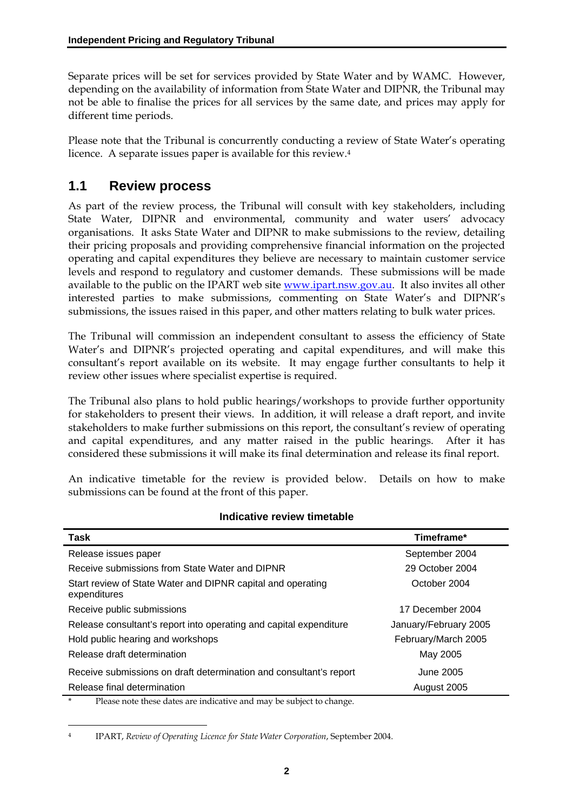Separate prices will be set for services provided by State Water and by WAMC. However, depending on the availability of information from State Water and DIPNR, the Tribunal may not be able to finalise the prices for all services by the same date, and prices may apply for different time periods.

Please note that the Tribunal is concurrently conducting a review of State Water's operating licence. A separate issues paper is available for this review.4

### **1.1 Review process**

As part of the review process, the Tribunal will consult with key stakeholders, including State Water, DIPNR and environmental, community and water users' advocacy organisations. It asks State Water and DIPNR to make submissions to the review, detailing their pricing proposals and providing comprehensive financial information on the projected operating and capital expenditures they believe are necessary to maintain customer service levels and respond to regulatory and customer demands. These submissions will be made available to the public on the IPART web site www.ipart.nsw.gov.au. It also invites all other interested parties to make submissions, commenting on State Water's and DIPNR's submissions, the issues raised in this paper, and other matters relating to bulk water prices.

The Tribunal will commission an independent consultant to assess the efficiency of State Water's and DIPNR's projected operating and capital expenditures, and will make this consultant's report available on its website. It may engage further consultants to help it review other issues where specialist expertise is required.

The Tribunal also plans to hold public hearings/workshops to provide further opportunity for stakeholders to present their views. In addition, it will release a draft report, and invite stakeholders to make further submissions on this report, the consultant's review of operating and capital expenditures, and any matter raised in the public hearings. After it has considered these submissions it will make its final determination and release its final report.

An indicative timetable for the review is provided below. Details on how to make submissions can be found at the front of this paper.

| Task                                                                           | Timeframe*            |
|--------------------------------------------------------------------------------|-----------------------|
| Release issues paper                                                           | September 2004        |
| Receive submissions from State Water and DIPNR                                 | 29 October 2004       |
| Start review of State Water and DIPNR capital and operating<br>expenditures    | October 2004          |
| Receive public submissions                                                     | 17 December 2004      |
| Release consultant's report into operating and capital expenditure             | January/February 2005 |
| Hold public hearing and workshops                                              | February/March 2005   |
| Release draft determination                                                    | May 2005              |
| Receive submissions on draft determination and consultant's report             | June 2005             |
| Release final determination                                                    | August 2005           |
| $\ast$<br>Please note these dates are indicative and may be subject to change. |                       |

#### **Indicative review timetable**

 $\overline{a}$ 

<sup>4</sup> IPART, *Review of Operating Licence for State Water Corporation*, September 2004.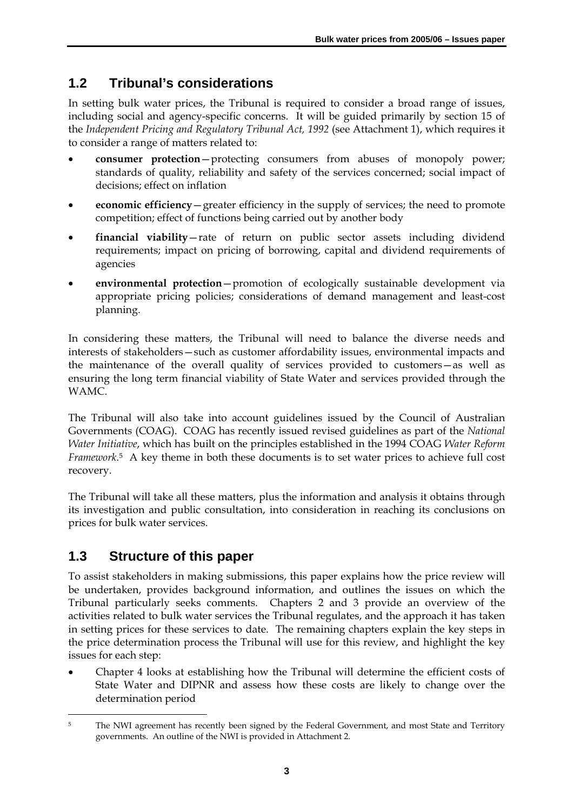# **1.2 Tribunal's considerations**

In setting bulk water prices, the Tribunal is required to consider a broad range of issues, including social and agency-specific concerns. It will be guided primarily by section 15 of the *Independent Pricing and Regulatory Tribunal Act, 1992* (see Attachment 1), which requires it to consider a range of matters related to:

- **consumer protection**—protecting consumers from abuses of monopoly power; standards of quality, reliability and safety of the services concerned; social impact of decisions; effect on inflation
- **economic efficiency**—greater efficiency in the supply of services; the need to promote competition; effect of functions being carried out by another body
- **financial viability**—rate of return on public sector assets including dividend requirements; impact on pricing of borrowing, capital and dividend requirements of agencies
- **environmental protection**—promotion of ecologically sustainable development via appropriate pricing policies; considerations of demand management and least-cost planning.

In considering these matters, the Tribunal will need to balance the diverse needs and interests of stakeholders—such as customer affordability issues, environmental impacts and the maintenance of the overall quality of services provided to customers—as well as ensuring the long term financial viability of State Water and services provided through the WAMC.

The Tribunal will also take into account guidelines issued by the Council of Australian Governments (COAG). COAG has recently issued revised guidelines as part of the *National Water Initiative*, which has built on the principles established in the 1994 COAG *Water Reform Framework*.5 A key theme in both these documents is to set water prices to achieve full cost recovery.

The Tribunal will take all these matters, plus the information and analysis it obtains through its investigation and public consultation, into consideration in reaching its conclusions on prices for bulk water services.

# **1.3 Structure of this paper**

To assist stakeholders in making submissions, this paper explains how the price review will be undertaken, provides background information, and outlines the issues on which the Tribunal particularly seeks comments. Chapters 2 and 3 provide an overview of the activities related to bulk water services the Tribunal regulates, and the approach it has taken in setting prices for these services to date. The remaining chapters explain the key steps in the price determination process the Tribunal will use for this review, and highlight the key issues for each step:

• Chapter 4 looks at establishing how the Tribunal will determine the efficient costs of State Water and DIPNR and assess how these costs are likely to change over the determination period

 $\overline{a}$ <sup>5</sup> The NWI agreement has recently been signed by the Federal Government, and most State and Territory governments. An outline of the NWI is provided in Attachment 2.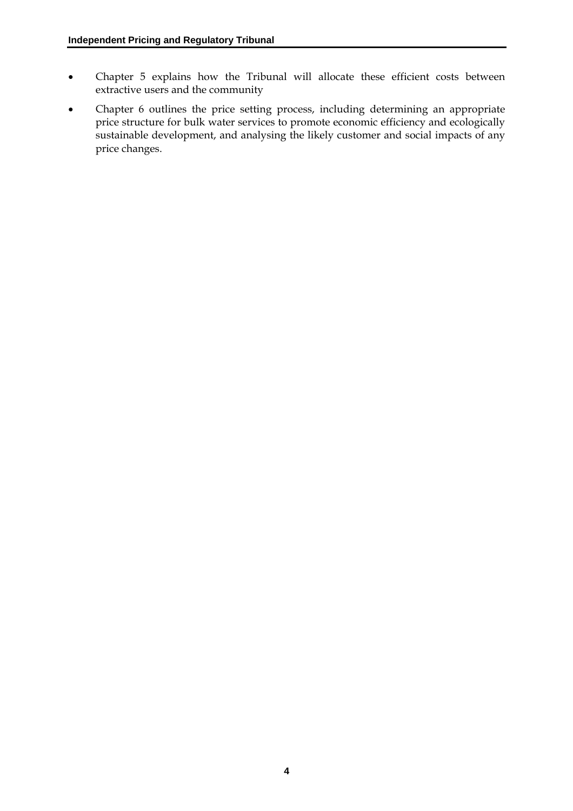- Chapter 5 explains how the Tribunal will allocate these efficient costs between extractive users and the community
- Chapter 6 outlines the price setting process, including determining an appropriate price structure for bulk water services to promote economic efficiency and ecologically sustainable development, and analysing the likely customer and social impacts of any price changes.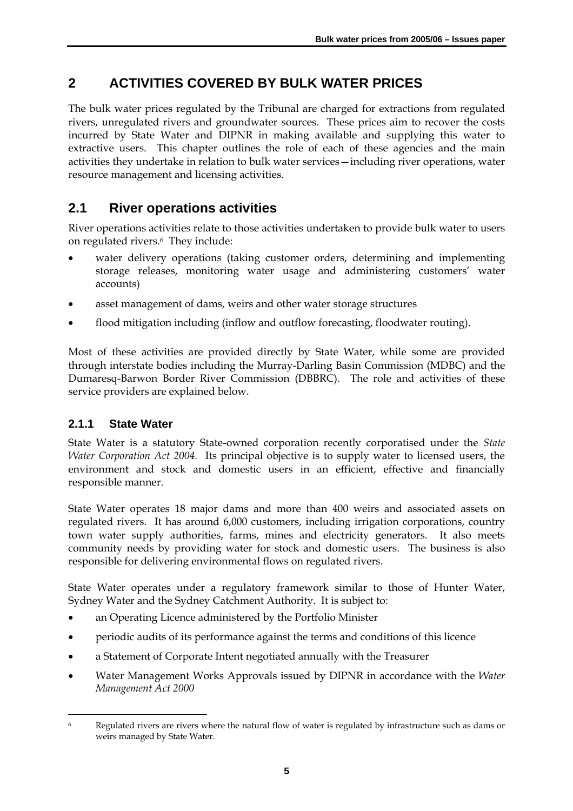# **2 ACTIVITIES COVERED BY BULK WATER PRICES**

The bulk water prices regulated by the Tribunal are charged for extractions from regulated rivers, unregulated rivers and groundwater sources. These prices aim to recover the costs incurred by State Water and DIPNR in making available and supplying this water to extractive users. This chapter outlines the role of each of these agencies and the main activities they undertake in relation to bulk water services—including river operations, water resource management and licensing activities.

# **2.1 River operations activities**

River operations activities relate to those activities undertaken to provide bulk water to users on regulated rivers.6 They include:

- water delivery operations (taking customer orders, determining and implementing storage releases, monitoring water usage and administering customers' water accounts)
- asset management of dams, weirs and other water storage structures
- flood mitigation including (inflow and outflow forecasting, floodwater routing).

Most of these activities are provided directly by State Water, while some are provided through interstate bodies including the Murray-Darling Basin Commission (MDBC) and the Dumaresq-Barwon Border River Commission (DBBRC). The role and activities of these service providers are explained below.

### **2.1.1 State Water**

State Water is a statutory State-owned corporation recently corporatised under the *State Water Corporation Act 2004.* Its principal objective is to supply water to licensed users, the environment and stock and domestic users in an efficient, effective and financially responsible manner.

State Water operates 18 major dams and more than 400 weirs and associated assets on regulated rivers. It has around 6,000 customers, including irrigation corporations, country town water supply authorities, farms, mines and electricity generators. It also meets community needs by providing water for stock and domestic users. The business is also responsible for delivering environmental flows on regulated rivers.

State Water operates under a regulatory framework similar to those of Hunter Water, Sydney Water and the Sydney Catchment Authority. It is subject to:

- an Operating Licence administered by the Portfolio Minister
- periodic audits of its performance against the terms and conditions of this licence
- a Statement of Corporate Intent negotiated annually with the Treasurer
- Water Management Works Approvals issued by DIPNR in accordance with the *Water Management Act 2000*

 $\overline{a}$ 6 Regulated rivers are rivers where the natural flow of water is regulated by infrastructure such as dams or weirs managed by State Water.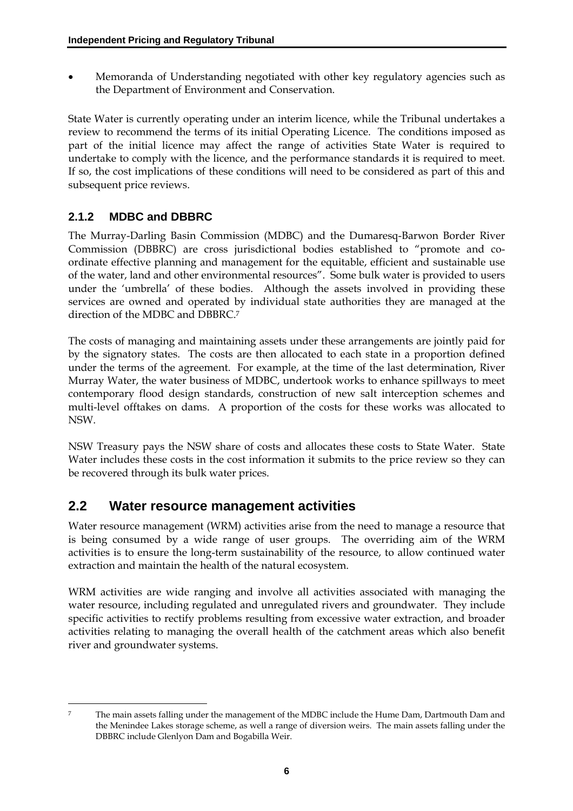• Memoranda of Understanding negotiated with other key regulatory agencies such as the Department of Environment and Conservation.

State Water is currently operating under an interim licence, while the Tribunal undertakes a review to recommend the terms of its initial Operating Licence. The conditions imposed as part of the initial licence may affect the range of activities State Water is required to undertake to comply with the licence, and the performance standards it is required to meet. If so, the cost implications of these conditions will need to be considered as part of this and subsequent price reviews.

### **2.1.2 MDBC and DBBRC**

The Murray-Darling Basin Commission (MDBC) and the Dumaresq-Barwon Border River Commission (DBBRC) are cross jurisdictional bodies established to "promote and coordinate effective planning and management for the equitable, efficient and sustainable use of the water, land and other environmental resources". Some bulk water is provided to users under the 'umbrella' of these bodies. Although the assets involved in providing these services are owned and operated by individual state authorities they are managed at the direction of the MDBC and DBBRC.7

The costs of managing and maintaining assets under these arrangements are jointly paid for by the signatory states. The costs are then allocated to each state in a proportion defined under the terms of the agreement. For example, at the time of the last determination, River Murray Water, the water business of MDBC, undertook works to enhance spillways to meet contemporary flood design standards, construction of new salt interception schemes and multi-level offtakes on dams. A proportion of the costs for these works was allocated to NSW.

NSW Treasury pays the NSW share of costs and allocates these costs to State Water. State Water includes these costs in the cost information it submits to the price review so they can be recovered through its bulk water prices.

### **2.2 Water resource management activities**

Water resource management (WRM) activities arise from the need to manage a resource that is being consumed by a wide range of user groups. The overriding aim of the WRM activities is to ensure the long-term sustainability of the resource, to allow continued water extraction and maintain the health of the natural ecosystem.

WRM activities are wide ranging and involve all activities associated with managing the water resource, including regulated and unregulated rivers and groundwater. They include specific activities to rectify problems resulting from excessive water extraction, and broader activities relating to managing the overall health of the catchment areas which also benefit river and groundwater systems.

 $\overline{a}$ 7 The main assets falling under the management of the MDBC include the Hume Dam, Dartmouth Dam and the Menindee Lakes storage scheme, as well a range of diversion weirs. The main assets falling under the DBBRC include Glenlyon Dam and Bogabilla Weir.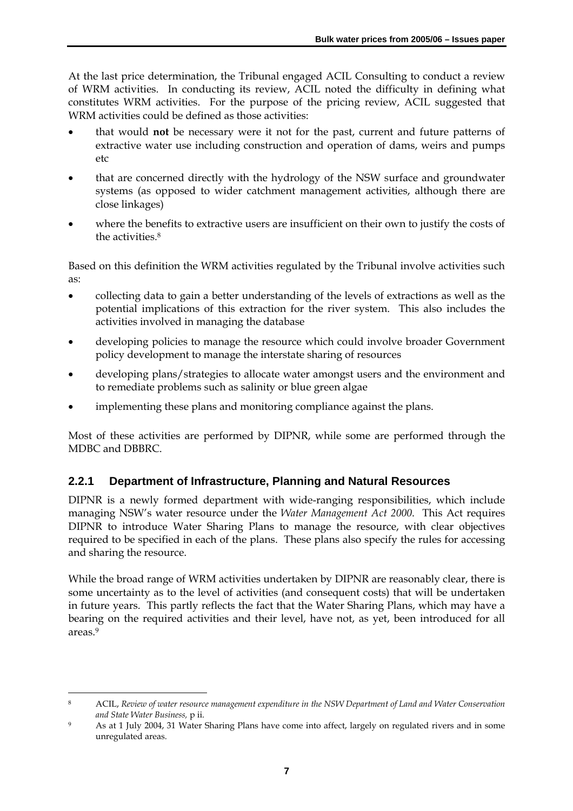At the last price determination, the Tribunal engaged ACIL Consulting to conduct a review of WRM activities. In conducting its review, ACIL noted the difficulty in defining what constitutes WRM activities. For the purpose of the pricing review, ACIL suggested that WRM activities could be defined as those activities:

- that would **not** be necessary were it not for the past, current and future patterns of extractive water use including construction and operation of dams, weirs and pumps etc
- that are concerned directly with the hydrology of the NSW surface and groundwater systems (as opposed to wider catchment management activities, although there are close linkages)
- where the benefits to extractive users are insufficient on their own to justify the costs of the activities.8

Based on this definition the WRM activities regulated by the Tribunal involve activities such as:

- collecting data to gain a better understanding of the levels of extractions as well as the potential implications of this extraction for the river system. This also includes the activities involved in managing the database
- developing policies to manage the resource which could involve broader Government policy development to manage the interstate sharing of resources
- developing plans/strategies to allocate water amongst users and the environment and to remediate problems such as salinity or blue green algae
- implementing these plans and monitoring compliance against the plans.

Most of these activities are performed by DIPNR, while some are performed through the MDBC and DBBRC.

### **2.2.1 Department of Infrastructure, Planning and Natural Resources**

DIPNR is a newly formed department with wide-ranging responsibilities, which include managing NSW's water resource under the *Water Management Act 2000*. This Act requires DIPNR to introduce Water Sharing Plans to manage the resource, with clear objectives required to be specified in each of the plans. These plans also specify the rules for accessing and sharing the resource.

While the broad range of WRM activities undertaken by DIPNR are reasonably clear, there is some uncertainty as to the level of activities (and consequent costs) that will be undertaken in future years. This partly reflects the fact that the Water Sharing Plans, which may have a bearing on the required activities and their level, have not, as yet, been introduced for all areas.9

 $\overline{a}$ 

<sup>8</sup> ACIL, *Review of water resource management expenditure in the NSW Department of Land and Water Conservation and State Water Business,* p ii.

<sup>9</sup> As at 1 July 2004, 31 Water Sharing Plans have come into affect, largely on regulated rivers and in some unregulated areas.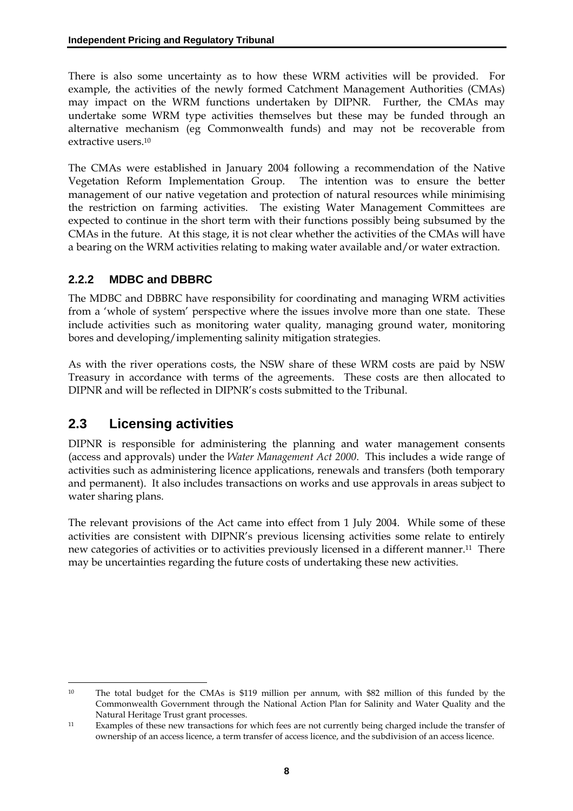There is also some uncertainty as to how these WRM activities will be provided. For example, the activities of the newly formed Catchment Management Authorities (CMAs) may impact on the WRM functions undertaken by DIPNR. Further, the CMAs may undertake some WRM type activities themselves but these may be funded through an alternative mechanism (eg Commonwealth funds) and may not be recoverable from extractive users.10

The CMAs were established in January 2004 following a recommendation of the Native Vegetation Reform Implementation Group. The intention was to ensure the better management of our native vegetation and protection of natural resources while minimising the restriction on farming activities. The existing Water Management Committees are expected to continue in the short term with their functions possibly being subsumed by the CMAs in the future. At this stage, it is not clear whether the activities of the CMAs will have a bearing on the WRM activities relating to making water available and/or water extraction.

### **2.2.2 MDBC and DBBRC**

The MDBC and DBBRC have responsibility for coordinating and managing WRM activities from a 'whole of system' perspective where the issues involve more than one state. These include activities such as monitoring water quality, managing ground water, monitoring bores and developing/implementing salinity mitigation strategies.

As with the river operations costs, the NSW share of these WRM costs are paid by NSW Treasury in accordance with terms of the agreements. These costs are then allocated to DIPNR and will be reflected in DIPNR's costs submitted to the Tribunal.

# **2.3 Licensing activities**

DIPNR is responsible for administering the planning and water management consents (access and approvals) under the *Water Management Act 2000*. This includes a wide range of activities such as administering licence applications, renewals and transfers (both temporary and permanent). It also includes transactions on works and use approvals in areas subject to water sharing plans.

The relevant provisions of the Act came into effect from 1 July 2004. While some of these activities are consistent with DIPNR's previous licensing activities some relate to entirely new categories of activities or to activities previously licensed in a different manner.11 There may be uncertainties regarding the future costs of undertaking these new activities.

 $\overline{a}$ 10 The total budget for the CMAs is \$119 million per annum, with \$82 million of this funded by the Commonwealth Government through the National Action Plan for Salinity and Water Quality and the Natural Heritage Trust grant processes.

<sup>11</sup> Examples of these new transactions for which fees are not currently being charged include the transfer of ownership of an access licence, a term transfer of access licence, and the subdivision of an access licence.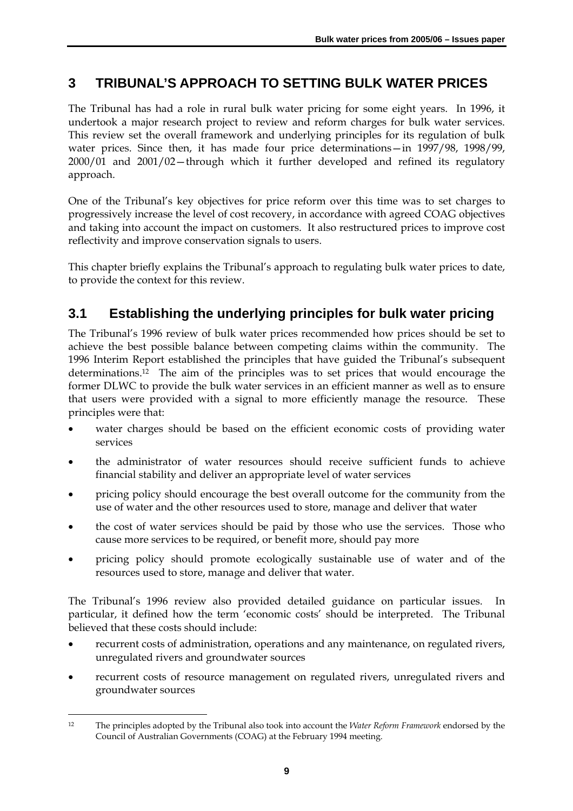# **3 TRIBUNAL'S APPROACH TO SETTING BULK WATER PRICES**

The Tribunal has had a role in rural bulk water pricing for some eight years. In 1996, it undertook a major research project to review and reform charges for bulk water services. This review set the overall framework and underlying principles for its regulation of bulk water prices. Since then, it has made four price determinations—in 1997/98, 1998/99, 2000/01 and 2001/02—through which it further developed and refined its regulatory approach.

One of the Tribunal's key objectives for price reform over this time was to set charges to progressively increase the level of cost recovery, in accordance with agreed COAG objectives and taking into account the impact on customers. It also restructured prices to improve cost reflectivity and improve conservation signals to users.

This chapter briefly explains the Tribunal's approach to regulating bulk water prices to date, to provide the context for this review.

# **3.1 Establishing the underlying principles for bulk water pricing**

The Tribunal's 1996 review of bulk water prices recommended how prices should be set to achieve the best possible balance between competing claims within the community. The 1996 Interim Report established the principles that have guided the Tribunal's subsequent determinations.12 The aim of the principles was to set prices that would encourage the former DLWC to provide the bulk water services in an efficient manner as well as to ensure that users were provided with a signal to more efficiently manage the resource. These principles were that:

- water charges should be based on the efficient economic costs of providing water services
- the administrator of water resources should receive sufficient funds to achieve financial stability and deliver an appropriate level of water services
- pricing policy should encourage the best overall outcome for the community from the use of water and the other resources used to store, manage and deliver that water
- the cost of water services should be paid by those who use the services. Those who cause more services to be required, or benefit more, should pay more
- pricing policy should promote ecologically sustainable use of water and of the resources used to store, manage and deliver that water.

The Tribunal's 1996 review also provided detailed guidance on particular issues. In particular, it defined how the term 'economic costs' should be interpreted. The Tribunal believed that these costs should include:

- recurrent costs of administration, operations and any maintenance, on regulated rivers, unregulated rivers and groundwater sources
- recurrent costs of resource management on regulated rivers, unregulated rivers and groundwater sources

 $\overline{a}$ 12 The principles adopted by the Tribunal also took into account the *Water Reform Framework* endorsed by the Council of Australian Governments (COAG) at the February 1994 meeting.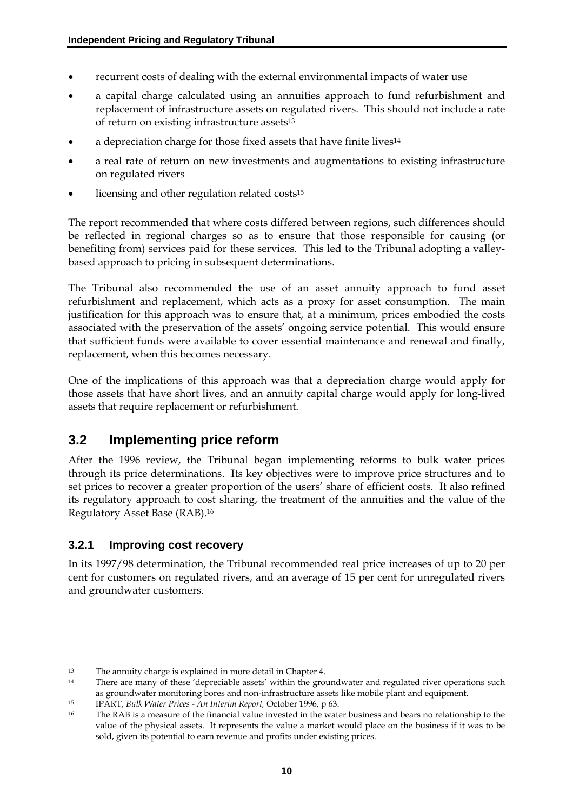- recurrent costs of dealing with the external environmental impacts of water use
- a capital charge calculated using an annuities approach to fund refurbishment and replacement of infrastructure assets on regulated rivers. This should not include a rate of return on existing infrastructure assets13
- a depreciation charge for those fixed assets that have finite lives<sup>14</sup>
- a real rate of return on new investments and augmentations to existing infrastructure on regulated rivers
- licensing and other regulation related costs<sup>15</sup>

The report recommended that where costs differed between regions, such differences should be reflected in regional charges so as to ensure that those responsible for causing (or benefiting from) services paid for these services. This led to the Tribunal adopting a valleybased approach to pricing in subsequent determinations.

The Tribunal also recommended the use of an asset annuity approach to fund asset refurbishment and replacement, which acts as a proxy for asset consumption. The main justification for this approach was to ensure that, at a minimum, prices embodied the costs associated with the preservation of the assets' ongoing service potential. This would ensure that sufficient funds were available to cover essential maintenance and renewal and finally, replacement, when this becomes necessary.

One of the implications of this approach was that a depreciation charge would apply for those assets that have short lives, and an annuity capital charge would apply for long-lived assets that require replacement or refurbishment.

### **3.2 Implementing price reform**

After the 1996 review, the Tribunal began implementing reforms to bulk water prices through its price determinations. Its key objectives were to improve price structures and to set prices to recover a greater proportion of the users' share of efficient costs. It also refined its regulatory approach to cost sharing, the treatment of the annuities and the value of the Regulatory Asset Base (RAB).16

### **3.2.1 Improving cost recovery**

 $\overline{a}$ 

In its 1997/98 determination, the Tribunal recommended real price increases of up to 20 per cent for customers on regulated rivers, and an average of 15 per cent for unregulated rivers and groundwater customers.

<sup>13</sup> The annuity charge is explained in more detail in Chapter 4.

<sup>&</sup>lt;sup>14</sup> There are many of these 'depreciable assets' within the groundwater and regulated river operations such as groundwater monitoring bores and non-infrastructure assets like mobile plant and equipment.

<sup>15</sup> IPART, *Bulk Water Prices - An Interim Report,* October 1996, p 63.

<sup>&</sup>lt;sup>16</sup> The RAB is a measure of the financial value invested in the water business and bears no relationship to the value of the physical assets. It represents the value a market would place on the business if it was to be sold, given its potential to earn revenue and profits under existing prices.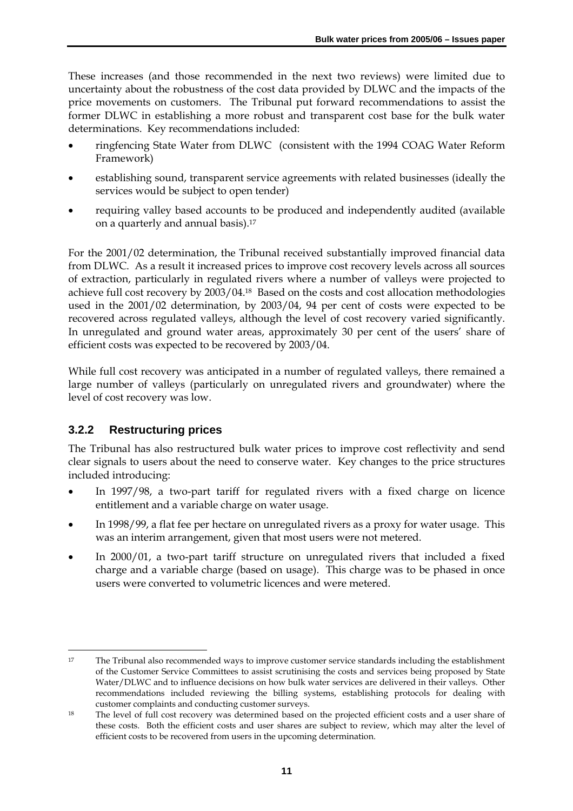These increases (and those recommended in the next two reviews) were limited due to uncertainty about the robustness of the cost data provided by DLWC and the impacts of the price movements on customers. The Tribunal put forward recommendations to assist the former DLWC in establishing a more robust and transparent cost base for the bulk water determinations. Key recommendations included:

- ringfencing State Water from DLWC (consistent with the 1994 COAG Water Reform Framework)
- establishing sound, transparent service agreements with related businesses (ideally the services would be subject to open tender)
- requiring valley based accounts to be produced and independently audited (available on a quarterly and annual basis).17

For the 2001/02 determination, the Tribunal received substantially improved financial data from DLWC. As a result it increased prices to improve cost recovery levels across all sources of extraction, particularly in regulated rivers where a number of valleys were projected to achieve full cost recovery by 2003/04.18 Based on the costs and cost allocation methodologies used in the 2001/02 determination, by 2003/04, 94 per cent of costs were expected to be recovered across regulated valleys, although the level of cost recovery varied significantly. In unregulated and ground water areas, approximately 30 per cent of the users' share of efficient costs was expected to be recovered by 2003/04.

While full cost recovery was anticipated in a number of regulated valleys, there remained a large number of valleys (particularly on unregulated rivers and groundwater) where the level of cost recovery was low.

### **3.2.2 Restructuring prices**

The Tribunal has also restructured bulk water prices to improve cost reflectivity and send clear signals to users about the need to conserve water. Key changes to the price structures included introducing:

- In 1997/98, a two-part tariff for regulated rivers with a fixed charge on licence entitlement and a variable charge on water usage.
- In 1998/99, a flat fee per hectare on unregulated rivers as a proxy for water usage. This was an interim arrangement, given that most users were not metered.
- In 2000/01, a two-part tariff structure on unregulated rivers that included a fixed charge and a variable charge (based on usage). This charge was to be phased in once users were converted to volumetric licences and were metered.

 $\overline{a}$ 17 The Tribunal also recommended ways to improve customer service standards including the establishment of the Customer Service Committees to assist scrutinising the costs and services being proposed by State Water/DLWC and to influence decisions on how bulk water services are delivered in their valleys. Other recommendations included reviewing the billing systems, establishing protocols for dealing with customer complaints and conducting customer surveys.

<sup>18</sup> The level of full cost recovery was determined based on the projected efficient costs and a user share of these costs. Both the efficient costs and user shares are subject to review, which may alter the level of efficient costs to be recovered from users in the upcoming determination.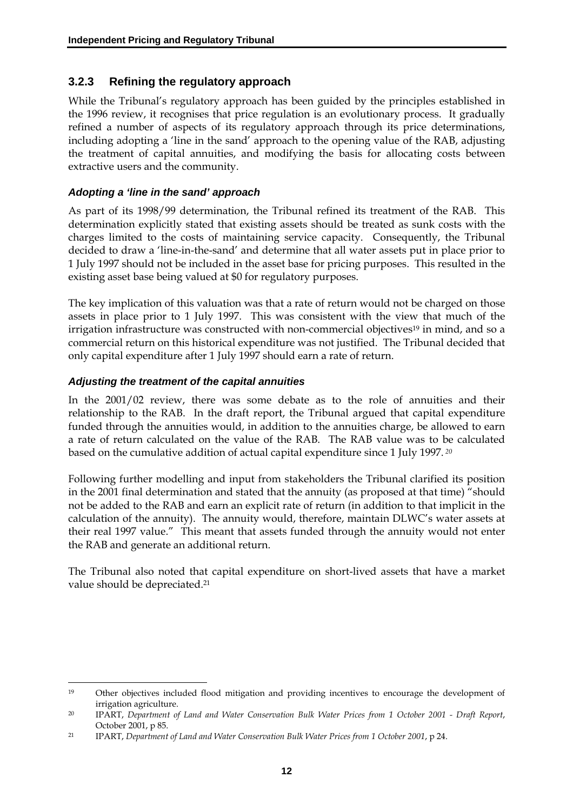#### **3.2.3 Refining the regulatory approach**

While the Tribunal's regulatory approach has been guided by the principles established in the 1996 review, it recognises that price regulation is an evolutionary process. It gradually refined a number of aspects of its regulatory approach through its price determinations, including adopting a 'line in the sand' approach to the opening value of the RAB, adjusting the treatment of capital annuities, and modifying the basis for allocating costs between extractive users and the community.

#### *Adopting a 'line in the sand' approach*

As part of its 1998/99 determination, the Tribunal refined its treatment of the RAB. This determination explicitly stated that existing assets should be treated as sunk costs with the charges limited to the costs of maintaining service capacity. Consequently, the Tribunal decided to draw a 'line-in-the-sand' and determine that all water assets put in place prior to 1 July 1997 should not be included in the asset base for pricing purposes. This resulted in the existing asset base being valued at \$0 for regulatory purposes.

The key implication of this valuation was that a rate of return would not be charged on those assets in place prior to 1 July 1997. This was consistent with the view that much of the irrigation infrastructure was constructed with non-commercial objectives<sup>19</sup> in mind, and so a commercial return on this historical expenditure was not justified. The Tribunal decided that only capital expenditure after 1 July 1997 should earn a rate of return.

#### *Adjusting the treatment of the capital annuities*

 $\overline{a}$ 

In the 2001/02 review, there was some debate as to the role of annuities and their relationship to the RAB. In the draft report, the Tribunal argued that capital expenditure funded through the annuities would, in addition to the annuities charge, be allowed to earn a rate of return calculated on the value of the RAB. The RAB value was to be calculated based on the cumulative addition of actual capital expenditure since 1 July 1997.*<sup>20</sup>*

Following further modelling and input from stakeholders the Tribunal clarified its position in the 2001 final determination and stated that the annuity (as proposed at that time) "should not be added to the RAB and earn an explicit rate of return (in addition to that implicit in the calculation of the annuity). The annuity would, therefore, maintain DLWC's water assets at their real 1997 value." This meant that assets funded through the annuity would not enter the RAB and generate an additional return.

The Tribunal also noted that capital expenditure on short-lived assets that have a market value should be depreciated.21

<sup>19</sup> Other objectives included flood mitigation and providing incentives to encourage the development of irrigation agriculture.

<sup>20</sup> IPART, *Department of Land and Water Conservation Bulk Water Prices from 1 October 2001 - Draft Report*, October 2001, p 85.

<sup>21</sup> IPART, *Department of Land and Water Conservation Bulk Water Prices from 1 October 2001*, p 24.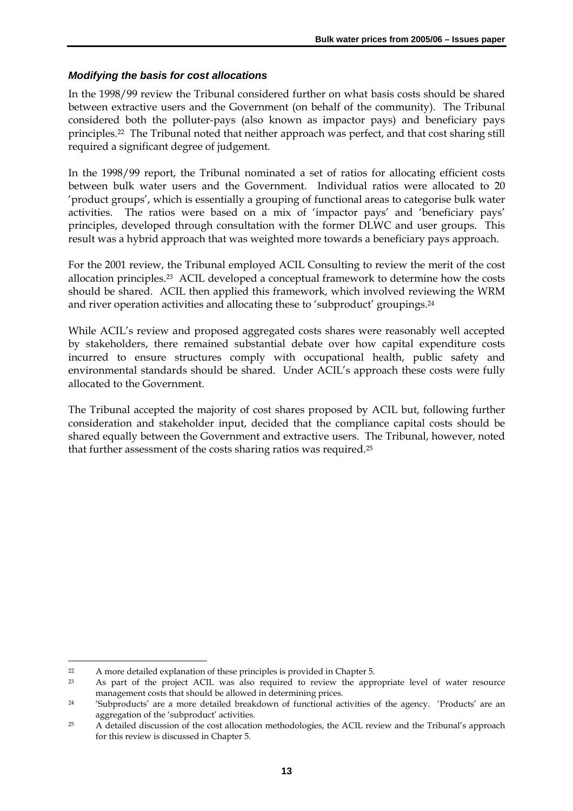#### *Modifying the basis for cost allocations*

In the 1998/99 review the Tribunal considered further on what basis costs should be shared between extractive users and the Government (on behalf of the community). The Tribunal considered both the polluter-pays (also known as impactor pays) and beneficiary pays principles.22 The Tribunal noted that neither approach was perfect, and that cost sharing still required a significant degree of judgement.

In the 1998/99 report, the Tribunal nominated a set of ratios for allocating efficient costs between bulk water users and the Government. Individual ratios were allocated to 20 'product groups', which is essentially a grouping of functional areas to categorise bulk water activities. The ratios were based on a mix of 'impactor pays' and 'beneficiary pays' principles, developed through consultation with the former DLWC and user groups. This result was a hybrid approach that was weighted more towards a beneficiary pays approach.

For the 2001 review, the Tribunal employed ACIL Consulting to review the merit of the cost allocation principles.23 ACIL developed a conceptual framework to determine how the costs should be shared. ACIL then applied this framework, which involved reviewing the WRM and river operation activities and allocating these to 'subproduct' groupings.24

While ACIL's review and proposed aggregated costs shares were reasonably well accepted by stakeholders, there remained substantial debate over how capital expenditure costs incurred to ensure structures comply with occupational health, public safety and environmental standards should be shared. Under ACIL's approach these costs were fully allocated to the Government.

The Tribunal accepted the majority of cost shares proposed by ACIL but, following further consideration and stakeholder input, decided that the compliance capital costs should be shared equally between the Government and extractive users. The Tribunal, however, noted that further assessment of the costs sharing ratios was required.25

 $\overline{a}$ 

<sup>22</sup> A more detailed explanation of these principles is provided in Chapter 5.

<sup>&</sup>lt;sup>23</sup> As part of the project ACIL was also required to review the appropriate level of water resource management costs that should be allowed in determining prices.

<sup>&</sup>lt;sup>24</sup> 'Subproducts' are a more detailed breakdown of functional activities of the agency. 'Products' are an aggregation of the 'subproduct' activities.

<sup>&</sup>lt;sup>25</sup> A detailed discussion of the cost allocation methodologies, the ACIL review and the Tribunal's approach for this review is discussed in Chapter 5.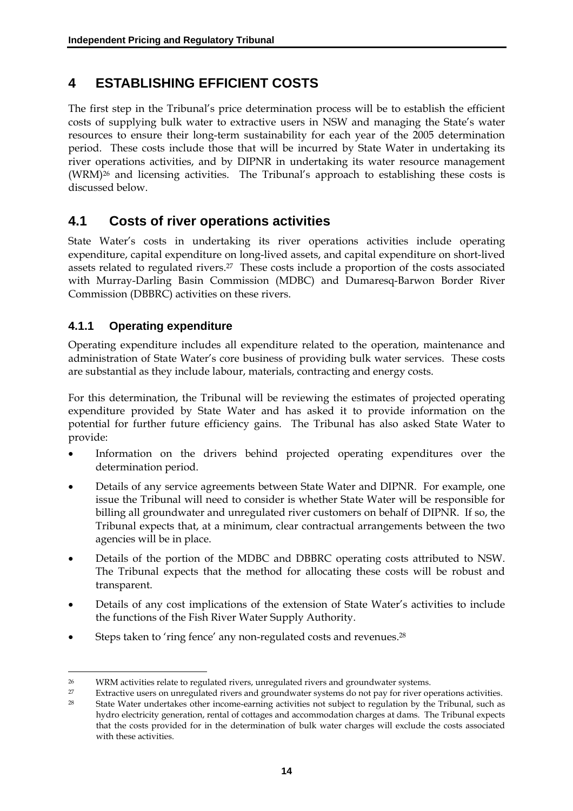# **4 ESTABLISHING EFFICIENT COSTS**

The first step in the Tribunal's price determination process will be to establish the efficient costs of supplying bulk water to extractive users in NSW and managing the State's water resources to ensure their long-term sustainability for each year of the 2005 determination period. These costs include those that will be incurred by State Water in undertaking its river operations activities, and by DIPNR in undertaking its water resource management (WRM)26 and licensing activities. The Tribunal's approach to establishing these costs is discussed below.

### **4.1 Costs of river operations activities**

State Water's costs in undertaking its river operations activities include operating expenditure, capital expenditure on long-lived assets, and capital expenditure on short-lived assets related to regulated rivers.27 These costs include a proportion of the costs associated with Murray-Darling Basin Commission (MDBC) and Dumaresq-Barwon Border River Commission (DBBRC) activities on these rivers.

### **4.1.1 Operating expenditure**

 $\overline{a}$ 

Operating expenditure includes all expenditure related to the operation, maintenance and administration of State Water's core business of providing bulk water services. These costs are substantial as they include labour, materials, contracting and energy costs.

For this determination, the Tribunal will be reviewing the estimates of projected operating expenditure provided by State Water and has asked it to provide information on the potential for further future efficiency gains. The Tribunal has also asked State Water to provide:

- Information on the drivers behind projected operating expenditures over the determination period.
- Details of any service agreements between State Water and DIPNR. For example, one issue the Tribunal will need to consider is whether State Water will be responsible for billing all groundwater and unregulated river customers on behalf of DIPNR. If so, the Tribunal expects that, at a minimum, clear contractual arrangements between the two agencies will be in place.
- Details of the portion of the MDBC and DBBRC operating costs attributed to NSW. The Tribunal expects that the method for allocating these costs will be robust and transparent.
- Details of any cost implications of the extension of State Water's activities to include the functions of the Fish River Water Supply Authority.
- Steps taken to 'ring fence' any non-regulated costs and revenues.<sup>28</sup>

<sup>26</sup> WRM activities relate to regulated rivers, unregulated rivers and groundwater systems.

<sup>27</sup> Extractive users on unregulated rivers and groundwater systems do not pay for river operations activities.

<sup>28</sup> State Water undertakes other income-earning activities not subject to regulation by the Tribunal, such as hydro electricity generation, rental of cottages and accommodation charges at dams. The Tribunal expects that the costs provided for in the determination of bulk water charges will exclude the costs associated with these activities.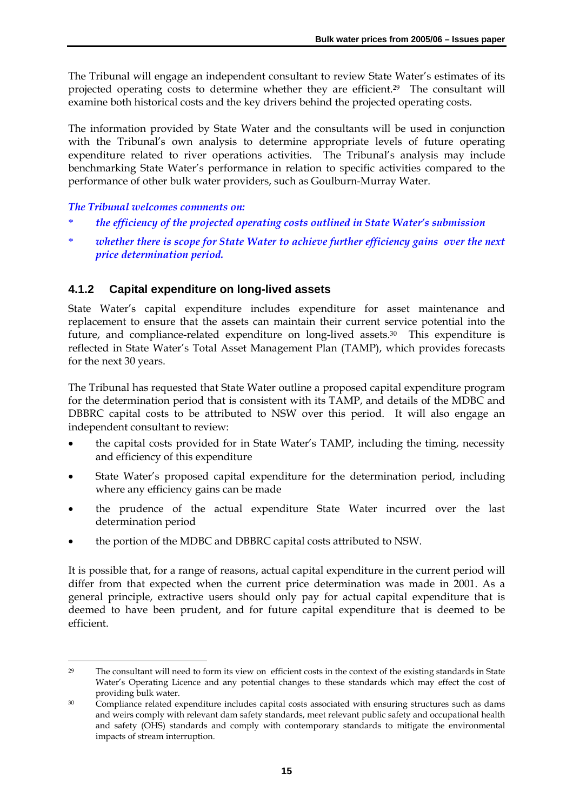The Tribunal will engage an independent consultant to review State Water's estimates of its projected operating costs to determine whether they are efficient.29 The consultant will examine both historical costs and the key drivers behind the projected operating costs.

The information provided by State Water and the consultants will be used in conjunction with the Tribunal's own analysis to determine appropriate levels of future operating expenditure related to river operations activities. The Tribunal's analysis may include benchmarking State Water's performance in relation to specific activities compared to the performance of other bulk water providers, such as Goulburn-Murray Water.

#### *The Tribunal welcomes comments on:*

 $\overline{a}$ 

- \* *the efficiency of the projected operating costs outlined in State Water's submission*
- whether there is scope for State Water to achieve further efficiency gains over the next *price determination period.*

### **4.1.2 Capital expenditure on long-lived assets**

State Water's capital expenditure includes expenditure for asset maintenance and replacement to ensure that the assets can maintain their current service potential into the future, and compliance-related expenditure on long-lived assets.30 This expenditure is reflected in State Water's Total Asset Management Plan (TAMP), which provides forecasts for the next 30 years.

The Tribunal has requested that State Water outline a proposed capital expenditure program for the determination period that is consistent with its TAMP, and details of the MDBC and DBBRC capital costs to be attributed to NSW over this period. It will also engage an independent consultant to review:

- the capital costs provided for in State Water's TAMP, including the timing, necessity and efficiency of this expenditure
- State Water's proposed capital expenditure for the determination period, including where any efficiency gains can be made
- the prudence of the actual expenditure State Water incurred over the last determination period
- the portion of the MDBC and DBBRC capital costs attributed to NSW.

It is possible that, for a range of reasons, actual capital expenditure in the current period will differ from that expected when the current price determination was made in 2001. As a general principle, extractive users should only pay for actual capital expenditure that is deemed to have been prudent, and for future capital expenditure that is deemed to be efficient.

<sup>29</sup> The consultant will need to form its view on efficient costs in the context of the existing standards in State Water's Operating Licence and any potential changes to these standards which may effect the cost of providing bulk water.

<sup>&</sup>lt;sup>30</sup> Compliance related expenditure includes capital costs associated with ensuring structures such as dams and weirs comply with relevant dam safety standards, meet relevant public safety and occupational health and safety (OHS) standards and comply with contemporary standards to mitigate the environmental impacts of stream interruption.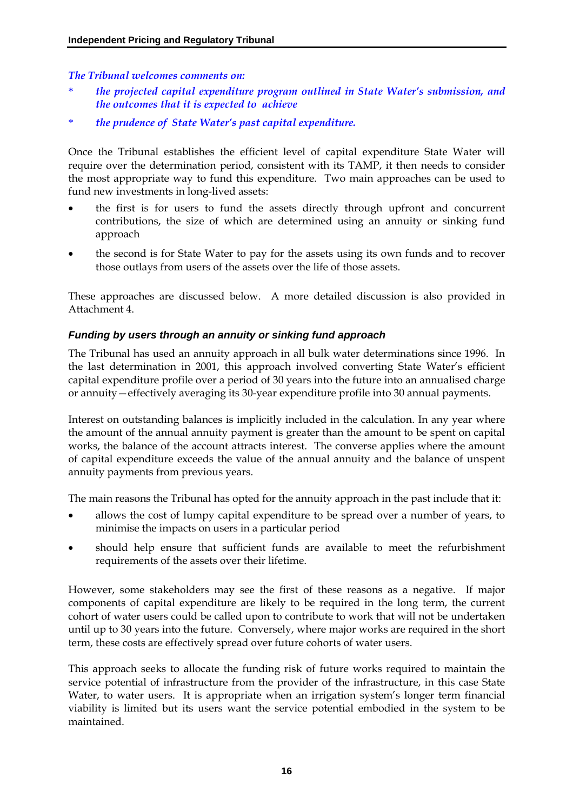*The Tribunal welcomes comments on:* 

- \* *the projected capital expenditure program outlined in State Water's submission, and the outcomes that it is expected to achieve*
- \* *the prudence of State Water's past capital expenditure.*

Once the Tribunal establishes the efficient level of capital expenditure State Water will require over the determination period, consistent with its TAMP, it then needs to consider the most appropriate way to fund this expenditure. Two main approaches can be used to fund new investments in long-lived assets:

- the first is for users to fund the assets directly through upfront and concurrent contributions, the size of which are determined using an annuity or sinking fund approach
- the second is for State Water to pay for the assets using its own funds and to recover those outlays from users of the assets over the life of those assets.

These approaches are discussed below. A more detailed discussion is also provided in Attachment 4.

#### *Funding by users through an annuity or sinking fund approach*

The Tribunal has used an annuity approach in all bulk water determinations since 1996. In the last determination in 2001, this approach involved converting State Water's efficient capital expenditure profile over a period of 30 years into the future into an annualised charge or annuity—effectively averaging its 30-year expenditure profile into 30 annual payments.

Interest on outstanding balances is implicitly included in the calculation. In any year where the amount of the annual annuity payment is greater than the amount to be spent on capital works, the balance of the account attracts interest. The converse applies where the amount of capital expenditure exceeds the value of the annual annuity and the balance of unspent annuity payments from previous years.

The main reasons the Tribunal has opted for the annuity approach in the past include that it:

- allows the cost of lumpy capital expenditure to be spread over a number of years, to minimise the impacts on users in a particular period
- should help ensure that sufficient funds are available to meet the refurbishment requirements of the assets over their lifetime.

However, some stakeholders may see the first of these reasons as a negative. If major components of capital expenditure are likely to be required in the long term, the current cohort of water users could be called upon to contribute to work that will not be undertaken until up to 30 years into the future. Conversely, where major works are required in the short term, these costs are effectively spread over future cohorts of water users.

This approach seeks to allocate the funding risk of future works required to maintain the service potential of infrastructure from the provider of the infrastructure, in this case State Water, to water users. It is appropriate when an irrigation system's longer term financial viability is limited but its users want the service potential embodied in the system to be maintained.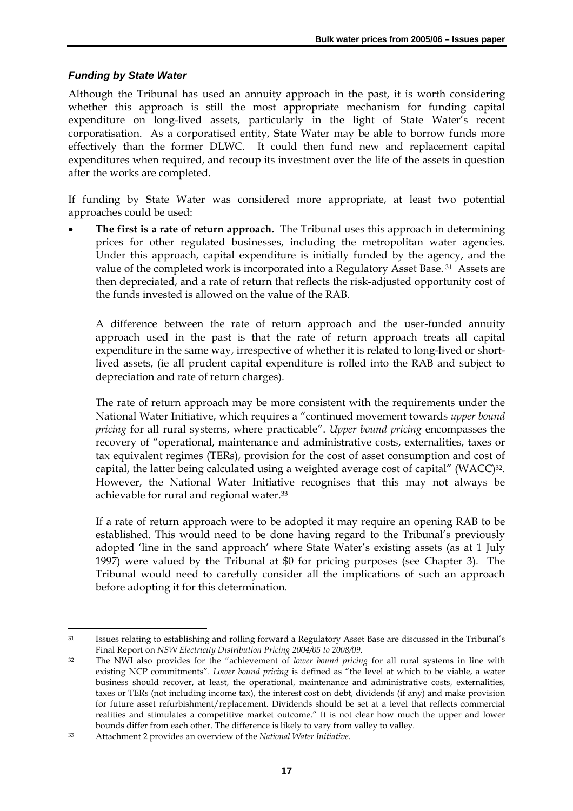#### *Funding by State Water*

Although the Tribunal has used an annuity approach in the past, it is worth considering whether this approach is still the most appropriate mechanism for funding capital expenditure on long-lived assets, particularly in the light of State Water's recent corporatisation. As a corporatised entity, State Water may be able to borrow funds more effectively than the former DLWC. It could then fund new and replacement capital expenditures when required, and recoup its investment over the life of the assets in question after the works are completed.

If funding by State Water was considered more appropriate, at least two potential approaches could be used:

• **The first is a rate of return approach.** The Tribunal uses this approach in determining prices for other regulated businesses, including the metropolitan water agencies. Under this approach, capital expenditure is initially funded by the agency, and the value of the completed work is incorporated into a Regulatory Asset Base. 31 Assets are then depreciated, and a rate of return that reflects the risk-adjusted opportunity cost of the funds invested is allowed on the value of the RAB.

A difference between the rate of return approach and the user-funded annuity approach used in the past is that the rate of return approach treats all capital expenditure in the same way, irrespective of whether it is related to long-lived or shortlived assets, (ie all prudent capital expenditure is rolled into the RAB and subject to depreciation and rate of return charges).

The rate of return approach may be more consistent with the requirements under the National Water Initiative, which requires a "continued movement towards *upper bound pricing* for all rural systems, where practicable". *Upper bound pricing* encompasses the recovery of "operational, maintenance and administrative costs, externalities, taxes or tax equivalent regimes (TERs), provision for the cost of asset consumption and cost of capital, the latter being calculated using a weighted average cost of capital" (WACC)<sup>32</sup>. However, the National Water Initiative recognises that this may not always be achievable for rural and regional water.33

If a rate of return approach were to be adopted it may require an opening RAB to be established. This would need to be done having regard to the Tribunal's previously adopted 'line in the sand approach' where State Water's existing assets (as at 1 July 1997) were valued by the Tribunal at \$0 for pricing purposes (see Chapter 3). The Tribunal would need to carefully consider all the implications of such an approach before adopting it for this determination.

 $\ddot{\phantom{a}}$ 

<sup>31</sup> Issues relating to establishing and rolling forward a Regulatory Asset Base are discussed in the Tribunal's Final Report on *NSW Electricity Distribution Pricing 2004/05 to 2008/09.* 

<sup>32</sup> The NWI also provides for the "achievement of *lower bound pricing* for all rural systems in line with existing NCP commitments". *Lower bound pricing* is defined as "the level at which to be viable, a water business should recover, at least, the operational, maintenance and administrative costs, externalities, taxes or TERs (not including income tax), the interest cost on debt, dividends (if any) and make provision for future asset refurbishment/replacement. Dividends should be set at a level that reflects commercial realities and stimulates a competitive market outcome." It is not clear how much the upper and lower bounds differ from each other. The difference is likely to vary from valley to valley.

<sup>33</sup> Attachment 2 provides an overview of the *National Water Initiative.*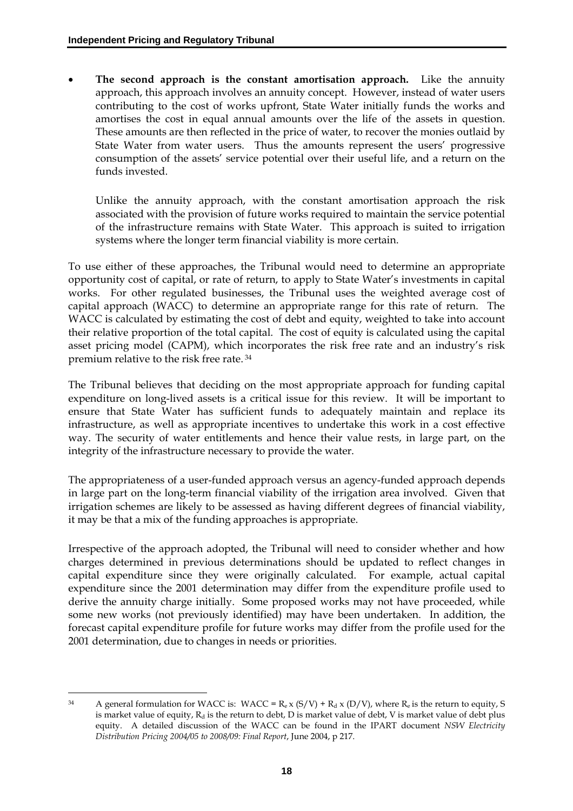The second approach is the constant amortisation approach. Like the annuity approach, this approach involves an annuity concept. However, instead of water users contributing to the cost of works upfront, State Water initially funds the works and amortises the cost in equal annual amounts over the life of the assets in question. These amounts are then reflected in the price of water, to recover the monies outlaid by State Water from water users. Thus the amounts represent the users' progressive consumption of the assets' service potential over their useful life, and a return on the funds invested.

Unlike the annuity approach, with the constant amortisation approach the risk associated with the provision of future works required to maintain the service potential of the infrastructure remains with State Water. This approach is suited to irrigation systems where the longer term financial viability is more certain.

To use either of these approaches, the Tribunal would need to determine an appropriate opportunity cost of capital, or rate of return, to apply to State Water's investments in capital works. For other regulated businesses, the Tribunal uses the weighted average cost of capital approach (WACC) to determine an appropriate range for this rate of return. The WACC is calculated by estimating the cost of debt and equity, weighted to take into account their relative proportion of the total capital. The cost of equity is calculated using the capital asset pricing model (CAPM), which incorporates the risk free rate and an industry's risk premium relative to the risk free rate. 34

The Tribunal believes that deciding on the most appropriate approach for funding capital expenditure on long-lived assets is a critical issue for this review. It will be important to ensure that State Water has sufficient funds to adequately maintain and replace its infrastructure, as well as appropriate incentives to undertake this work in a cost effective way. The security of water entitlements and hence their value rests, in large part, on the integrity of the infrastructure necessary to provide the water.

The appropriateness of a user-funded approach versus an agency-funded approach depends in large part on the long-term financial viability of the irrigation area involved. Given that irrigation schemes are likely to be assessed as having different degrees of financial viability, it may be that a mix of the funding approaches is appropriate.

Irrespective of the approach adopted, the Tribunal will need to consider whether and how charges determined in previous determinations should be updated to reflect changes in capital expenditure since they were originally calculated. For example, actual capital expenditure since the 2001 determination may differ from the expenditure profile used to derive the annuity charge initially. Some proposed works may not have proceeded, while some new works (not previously identified) may have been undertaken. In addition, the forecast capital expenditure profile for future works may differ from the profile used for the 2001 determination, due to changes in needs or priorities.

 $\overline{a}$ 

<sup>&</sup>lt;sup>34</sup> A general formulation for WACC is: WACC =  $R_e \times (S/V) + R_d \times (D/V)$ , where  $R_e$  is the return to equity, S is market value of equity,  $R_d$  is the return to debt, D is market value of debt, V is market value of debt plus equity. A detailed discussion of the WACC can be found in the IPART document *NSW Electricity Distribution Pricing 2004/05 to 2008/09: Final Report*, June 2004, p 217.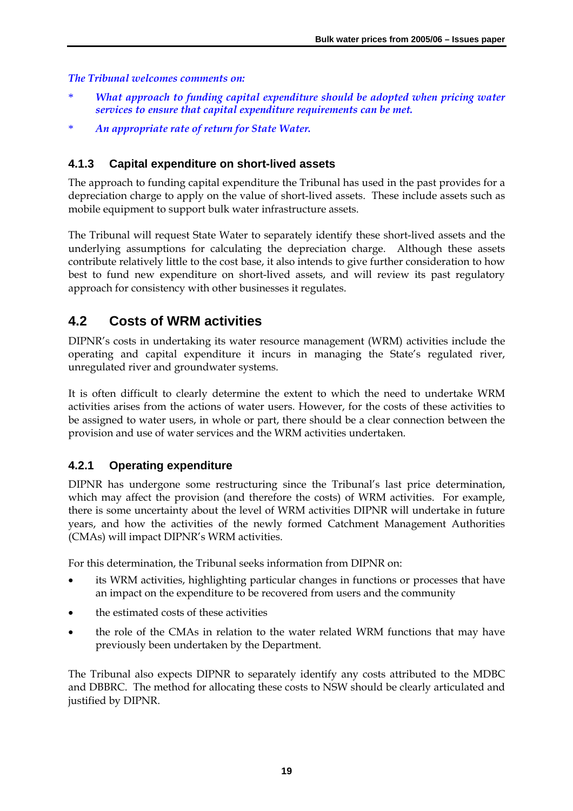#### *The Tribunal welcomes comments on:*

- What approach to funding capital expenditure should be adopted when pricing water *services to ensure that capital expenditure requirements can be met.*
- \* *An appropriate rate of return for State Water.*

### **4.1.3 Capital expenditure on short-lived assets**

The approach to funding capital expenditure the Tribunal has used in the past provides for a depreciation charge to apply on the value of short-lived assets. These include assets such as mobile equipment to support bulk water infrastructure assets.

The Tribunal will request State Water to separately identify these short-lived assets and the underlying assumptions for calculating the depreciation charge. Although these assets contribute relatively little to the cost base, it also intends to give further consideration to how best to fund new expenditure on short-lived assets, and will review its past regulatory approach for consistency with other businesses it regulates.

# **4.2 Costs of WRM activities**

DIPNR's costs in undertaking its water resource management (WRM) activities include the operating and capital expenditure it incurs in managing the State's regulated river, unregulated river and groundwater systems.

It is often difficult to clearly determine the extent to which the need to undertake WRM activities arises from the actions of water users. However, for the costs of these activities to be assigned to water users, in whole or part, there should be a clear connection between the provision and use of water services and the WRM activities undertaken.

### **4.2.1 Operating expenditure**

DIPNR has undergone some restructuring since the Tribunal's last price determination, which may affect the provision (and therefore the costs) of WRM activities. For example, there is some uncertainty about the level of WRM activities DIPNR will undertake in future years, and how the activities of the newly formed Catchment Management Authorities (CMAs) will impact DIPNR's WRM activities.

For this determination, the Tribunal seeks information from DIPNR on:

- its WRM activities, highlighting particular changes in functions or processes that have an impact on the expenditure to be recovered from users and the community
- the estimated costs of these activities
- the role of the CMAs in relation to the water related WRM functions that may have previously been undertaken by the Department.

The Tribunal also expects DIPNR to separately identify any costs attributed to the MDBC and DBBRC. The method for allocating these costs to NSW should be clearly articulated and justified by DIPNR.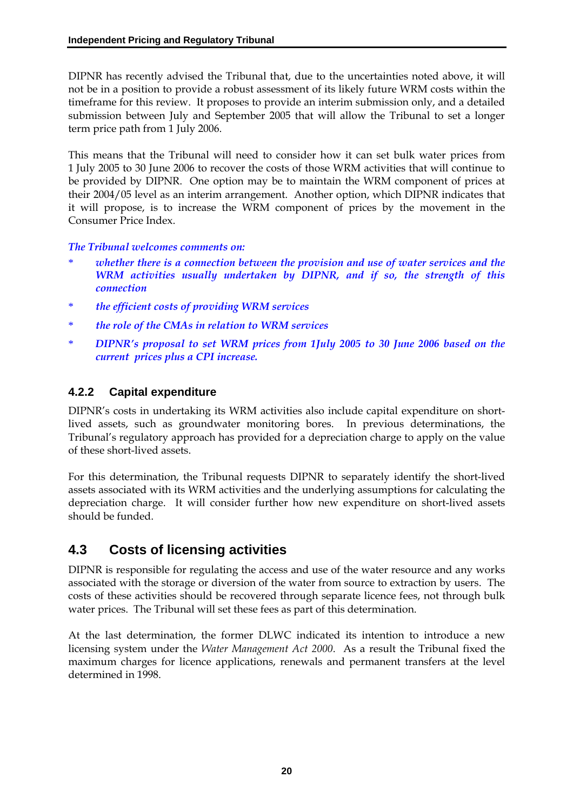DIPNR has recently advised the Tribunal that, due to the uncertainties noted above, it will not be in a position to provide a robust assessment of its likely future WRM costs within the timeframe for this review. It proposes to provide an interim submission only, and a detailed submission between July and September 2005 that will allow the Tribunal to set a longer term price path from 1 July 2006.

This means that the Tribunal will need to consider how it can set bulk water prices from 1 July 2005 to 30 June 2006 to recover the costs of those WRM activities that will continue to be provided by DIPNR. One option may be to maintain the WRM component of prices at their 2004/05 level as an interim arrangement. Another option, which DIPNR indicates that it will propose, is to increase the WRM component of prices by the movement in the Consumer Price Index.

*The Tribunal welcomes comments on:* 

- whether there is a connection between the provision and use of water services and the *WRM activities usually undertaken by DIPNR, and if so, the strength of this connection*
- \* *the efficient costs of providing WRM services*
- \* *the role of the CMAs in relation to WRM services*
- \* *DIPNR's proposal to set WRM prices from 1July 2005 to 30 June 2006 based on the current prices plus a CPI increase.*

### **4.2.2 Capital expenditure**

DIPNR's costs in undertaking its WRM activities also include capital expenditure on shortlived assets, such as groundwater monitoring bores. In previous determinations, the Tribunal's regulatory approach has provided for a depreciation charge to apply on the value of these short-lived assets.

For this determination, the Tribunal requests DIPNR to separately identify the short-lived assets associated with its WRM activities and the underlying assumptions for calculating the depreciation charge. It will consider further how new expenditure on short-lived assets should be funded.

# **4.3 Costs of licensing activities**

DIPNR is responsible for regulating the access and use of the water resource and any works associated with the storage or diversion of the water from source to extraction by users. The costs of these activities should be recovered through separate licence fees, not through bulk water prices. The Tribunal will set these fees as part of this determination.

At the last determination, the former DLWC indicated its intention to introduce a new licensing system under the *Water Management Act 2000*. As a result the Tribunal fixed the maximum charges for licence applications, renewals and permanent transfers at the level determined in 1998.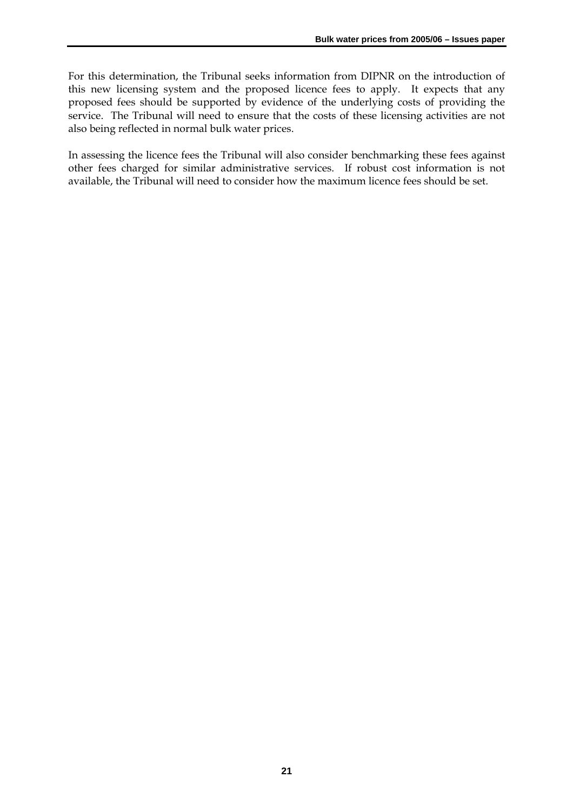For this determination, the Tribunal seeks information from DIPNR on the introduction of this new licensing system and the proposed licence fees to apply. It expects that any proposed fees should be supported by evidence of the underlying costs of providing the service. The Tribunal will need to ensure that the costs of these licensing activities are not also being reflected in normal bulk water prices.

In assessing the licence fees the Tribunal will also consider benchmarking these fees against other fees charged for similar administrative services. If robust cost information is not available, the Tribunal will need to consider how the maximum licence fees should be set.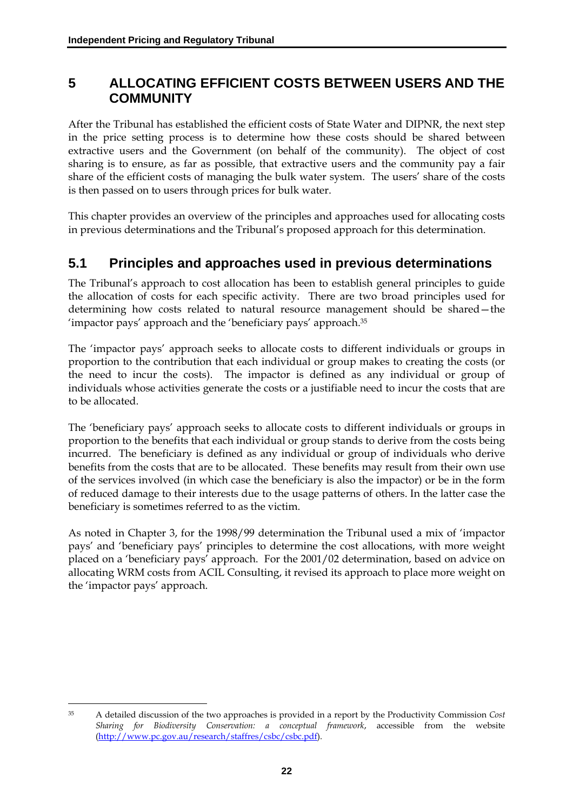### **5 ALLOCATING EFFICIENT COSTS BETWEEN USERS AND THE COMMUNITY**

After the Tribunal has established the efficient costs of State Water and DIPNR, the next step in the price setting process is to determine how these costs should be shared between extractive users and the Government (on behalf of the community). The object of cost sharing is to ensure, as far as possible, that extractive users and the community pay a fair share of the efficient costs of managing the bulk water system. The users' share of the costs is then passed on to users through prices for bulk water.

This chapter provides an overview of the principles and approaches used for allocating costs in previous determinations and the Tribunal's proposed approach for this determination.

### **5.1 Principles and approaches used in previous determinations**

The Tribunal's approach to cost allocation has been to establish general principles to guide the allocation of costs for each specific activity. There are two broad principles used for determining how costs related to natural resource management should be shared—the 'impactor pays' approach and the 'beneficiary pays' approach.35

The 'impactor pays' approach seeks to allocate costs to different individuals or groups in proportion to the contribution that each individual or group makes to creating the costs (or the need to incur the costs). The impactor is defined as any individual or group of individuals whose activities generate the costs or a justifiable need to incur the costs that are to be allocated.

The 'beneficiary pays' approach seeks to allocate costs to different individuals or groups in proportion to the benefits that each individual or group stands to derive from the costs being incurred. The beneficiary is defined as any individual or group of individuals who derive benefits from the costs that are to be allocated. These benefits may result from their own use of the services involved (in which case the beneficiary is also the impactor) or be in the form of reduced damage to their interests due to the usage patterns of others. In the latter case the beneficiary is sometimes referred to as the victim.

As noted in Chapter 3, for the 1998/99 determination the Tribunal used a mix of 'impactor pays' and 'beneficiary pays' principles to determine the cost allocations, with more weight placed on a 'beneficiary pays' approach. For the 2001/02 determination, based on advice on allocating WRM costs from ACIL Consulting, it revised its approach to place more weight on the 'impactor pays' approach.

 $\overline{a}$ 

<sup>35</sup> A detailed discussion of the two approaches is provided in a report by the Productivity Commission *Cost Sharing for Biodiversity Conservation: a conceptual framework*, accessible from the website (http://www.pc.gov.au/research/staffres/csbc/csbc.pdf).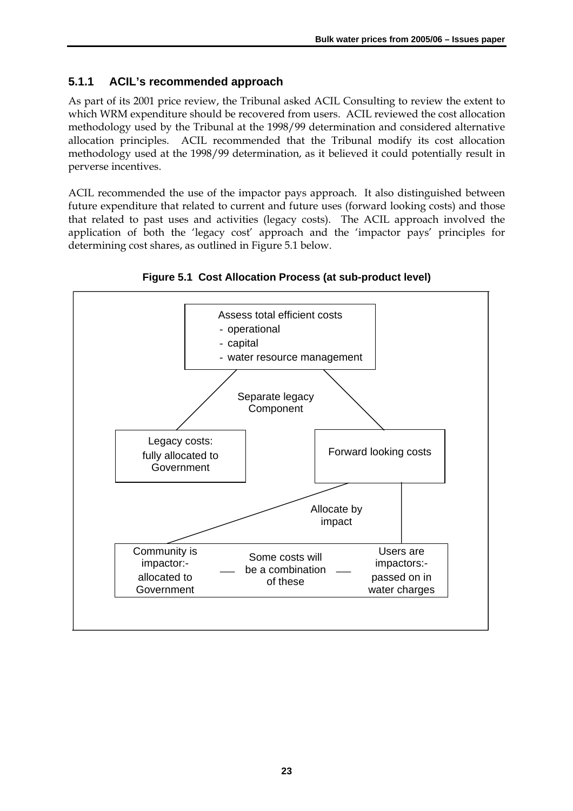### **5.1.1 ACIL's recommended approach**

As part of its 2001 price review, the Tribunal asked ACIL Consulting to review the extent to which WRM expenditure should be recovered from users. ACIL reviewed the cost allocation methodology used by the Tribunal at the 1998/99 determination and considered alternative allocation principles. ACIL recommended that the Tribunal modify its cost allocation methodology used at the 1998/99 determination, as it believed it could potentially result in perverse incentives.

ACIL recommended the use of the impactor pays approach. It also distinguished between future expenditure that related to current and future uses (forward looking costs) and those that related to past uses and activities (legacy costs). The ACIL approach involved the application of both the 'legacy cost' approach and the 'impactor pays' principles for determining cost shares, as outlined in Figure 5.1 below.



**Figure 5.1 Cost Allocation Process (at sub-product level)**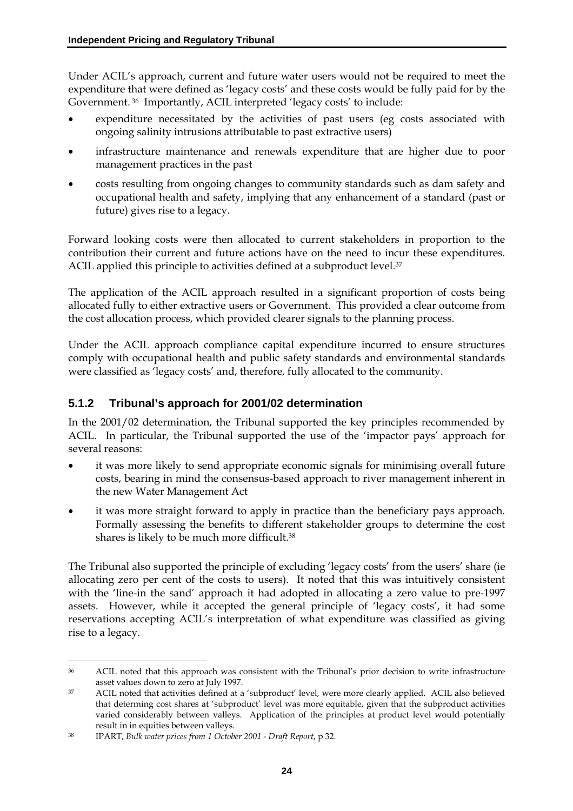Under ACIL's approach, current and future water users would not be required to meet the expenditure that were defined as 'legacy costs' and these costs would be fully paid for by the Government. 36 Importantly, ACIL interpreted 'legacy costs' to include:

- expenditure necessitated by the activities of past users (eg costs associated with ongoing salinity intrusions attributable to past extractive users)
- infrastructure maintenance and renewals expenditure that are higher due to poor management practices in the past
- costs resulting from ongoing changes to community standards such as dam safety and occupational health and safety, implying that any enhancement of a standard (past or future) gives rise to a legacy.

Forward looking costs were then allocated to current stakeholders in proportion to the contribution their current and future actions have on the need to incur these expenditures. ACIL applied this principle to activities defined at a subproduct level.<sup>37</sup>

The application of the ACIL approach resulted in a significant proportion of costs being allocated fully to either extractive users or Government. This provided a clear outcome from the cost allocation process, which provided clearer signals to the planning process.

Under the ACIL approach compliance capital expenditure incurred to ensure structures comply with occupational health and public safety standards and environmental standards were classified as 'legacy costs' and, therefore, fully allocated to the community.

### **5.1.2 Tribunal's approach for 2001/02 determination**

In the 2001/02 determination, the Tribunal supported the key principles recommended by ACIL. In particular, the Tribunal supported the use of the 'impactor pays' approach for several reasons:

- it was more likely to send appropriate economic signals for minimising overall future costs, bearing in mind the consensus-based approach to river management inherent in the new Water Management Act
- it was more straight forward to apply in practice than the beneficiary pays approach. Formally assessing the benefits to different stakeholder groups to determine the cost shares is likely to be much more difficult.38

The Tribunal also supported the principle of excluding 'legacy costs' from the users' share (ie allocating zero per cent of the costs to users). It noted that this was intuitively consistent with the 'line-in the sand' approach it had adopted in allocating a zero value to pre-1997 assets. However, while it accepted the general principle of 'legacy costs', it had some reservations accepting ACIL's interpretation of what expenditure was classified as giving rise to a legacy.

 $\overline{a}$ 36 ACIL noted that this approach was consistent with the Tribunal's prior decision to write infrastructure asset values down to zero at July 1997.

<sup>37</sup> ACIL noted that activities defined at a 'subproduct' level, were more clearly applied. ACIL also believed that determing cost shares at 'subproduct' level was more equitable, given that the subproduct activities varied considerably between valleys. Application of the principles at product level would potentially result in in equities between valleys.

<sup>38</sup> IPART, *Bulk water prices from 1 October 2001 - Draft Report*, p 32.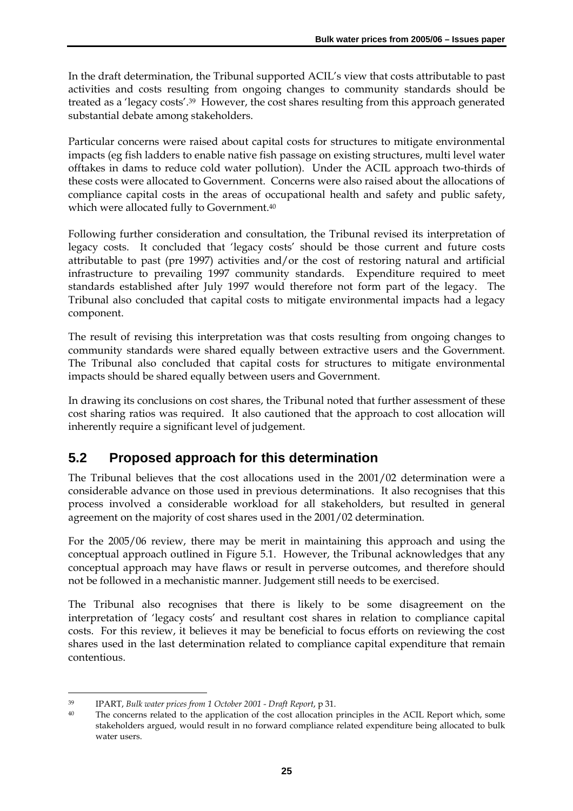In the draft determination, the Tribunal supported ACIL's view that costs attributable to past activities and costs resulting from ongoing changes to community standards should be treated as a 'legacy costs'.39 However, the cost shares resulting from this approach generated substantial debate among stakeholders.

Particular concerns were raised about capital costs for structures to mitigate environmental impacts (eg fish ladders to enable native fish passage on existing structures, multi level water offtakes in dams to reduce cold water pollution). Under the ACIL approach two-thirds of these costs were allocated to Government. Concerns were also raised about the allocations of compliance capital costs in the areas of occupational health and safety and public safety, which were allocated fully to Government.<sup>40</sup>

Following further consideration and consultation, the Tribunal revised its interpretation of legacy costs. It concluded that 'legacy costs' should be those current and future costs attributable to past (pre 1997) activities and/or the cost of restoring natural and artificial infrastructure to prevailing 1997 community standards. Expenditure required to meet standards established after July 1997 would therefore not form part of the legacy. The Tribunal also concluded that capital costs to mitigate environmental impacts had a legacy component.

The result of revising this interpretation was that costs resulting from ongoing changes to community standards were shared equally between extractive users and the Government. The Tribunal also concluded that capital costs for structures to mitigate environmental impacts should be shared equally between users and Government.

In drawing its conclusions on cost shares, the Tribunal noted that further assessment of these cost sharing ratios was required. It also cautioned that the approach to cost allocation will inherently require a significant level of judgement.

# **5.2 Proposed approach for this determination**

The Tribunal believes that the cost allocations used in the 2001/02 determination were a considerable advance on those used in previous determinations. It also recognises that this process involved a considerable workload for all stakeholders, but resulted in general agreement on the majority of cost shares used in the 2001/02 determination.

For the 2005/06 review, there may be merit in maintaining this approach and using the conceptual approach outlined in Figure 5.1. However, the Tribunal acknowledges that any conceptual approach may have flaws or result in perverse outcomes, and therefore should not be followed in a mechanistic manner. Judgement still needs to be exercised.

The Tribunal also recognises that there is likely to be some disagreement on the interpretation of 'legacy costs' and resultant cost shares in relation to compliance capital costs. For this review, it believes it may be beneficial to focus efforts on reviewing the cost shares used in the last determination related to compliance capital expenditure that remain contentious.

 $\overline{a}$ 

<sup>39</sup> IPART, *Bulk water prices from 1 October 2001 - Draft Report*, p 31.

<sup>&</sup>lt;sup>40</sup> The concerns related to the application of the cost allocation principles in the ACIL Report which, some stakeholders argued, would result in no forward compliance related expenditure being allocated to bulk water users.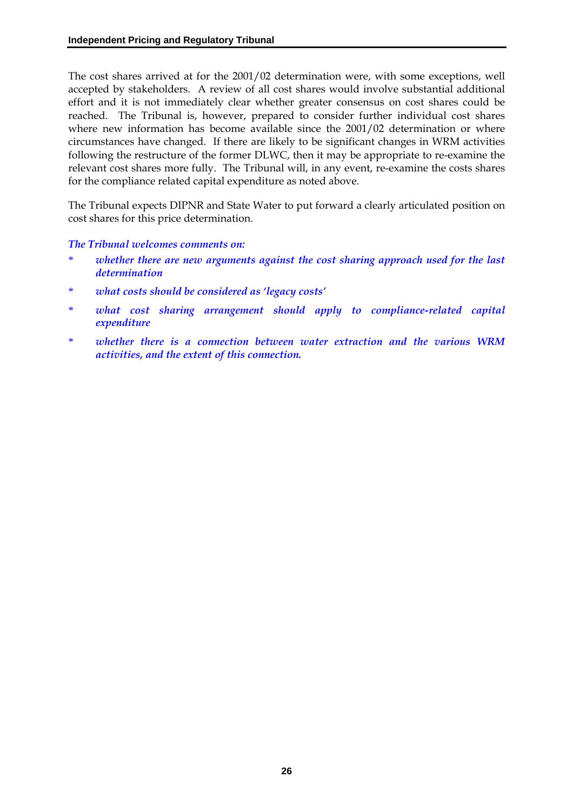The cost shares arrived at for the 2001/02 determination were, with some exceptions, well accepted by stakeholders. A review of all cost shares would involve substantial additional effort and it is not immediately clear whether greater consensus on cost shares could be reached. The Tribunal is, however, prepared to consider further individual cost shares where new information has become available since the 2001/02 determination or where circumstances have changed. If there are likely to be significant changes in WRM activities following the restructure of the former DLWC, then it may be appropriate to re-examine the relevant cost shares more fully. The Tribunal will, in any event, re-examine the costs shares for the compliance related capital expenditure as noted above.

The Tribunal expects DIPNR and State Water to put forward a clearly articulated position on cost shares for this price determination.

*The Tribunal welcomes comments on:* 

- whether there are new arguments against the cost sharing approach used for the last *determination*
- \* *what costs should be considered as 'legacy costs'*
- what cost sharing arrangement should apply to compliance-related capital *expenditure*
- whether there is a connection between water extraction and the various WRM *activities, and the extent of this connection.*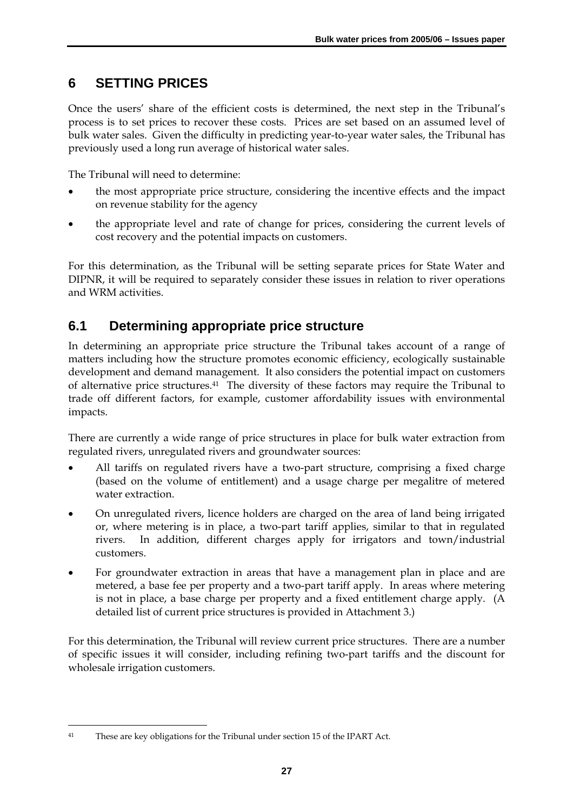# **6 SETTING PRICES**

Once the users' share of the efficient costs is determined, the next step in the Tribunal's process is to set prices to recover these costs. Prices are set based on an assumed level of bulk water sales. Given the difficulty in predicting year-to-year water sales, the Tribunal has previously used a long run average of historical water sales.

The Tribunal will need to determine:

- the most appropriate price structure, considering the incentive effects and the impact on revenue stability for the agency
- the appropriate level and rate of change for prices, considering the current levels of cost recovery and the potential impacts on customers.

For this determination, as the Tribunal will be setting separate prices for State Water and DIPNR, it will be required to separately consider these issues in relation to river operations and WRM activities.

### **6.1 Determining appropriate price structure**

In determining an appropriate price structure the Tribunal takes account of a range of matters including how the structure promotes economic efficiency, ecologically sustainable development and demand management. It also considers the potential impact on customers of alternative price structures.41 The diversity of these factors may require the Tribunal to trade off different factors, for example, customer affordability issues with environmental impacts.

There are currently a wide range of price structures in place for bulk water extraction from regulated rivers, unregulated rivers and groundwater sources:

- All tariffs on regulated rivers have a two-part structure, comprising a fixed charge (based on the volume of entitlement) and a usage charge per megalitre of metered water extraction.
- On unregulated rivers, licence holders are charged on the area of land being irrigated or, where metering is in place, a two-part tariff applies, similar to that in regulated rivers. In addition, different charges apply for irrigators and town/industrial customers.
- For groundwater extraction in areas that have a management plan in place and are metered, a base fee per property and a two-part tariff apply. In areas where metering is not in place, a base charge per property and a fixed entitlement charge apply. (A detailed list of current price structures is provided in Attachment 3.)

For this determination, the Tribunal will review current price structures. There are a number of specific issues it will consider, including refining two-part tariffs and the discount for wholesale irrigation customers.

 $\overline{a}$ 

<sup>41</sup> These are key obligations for the Tribunal under section 15 of the IPART Act.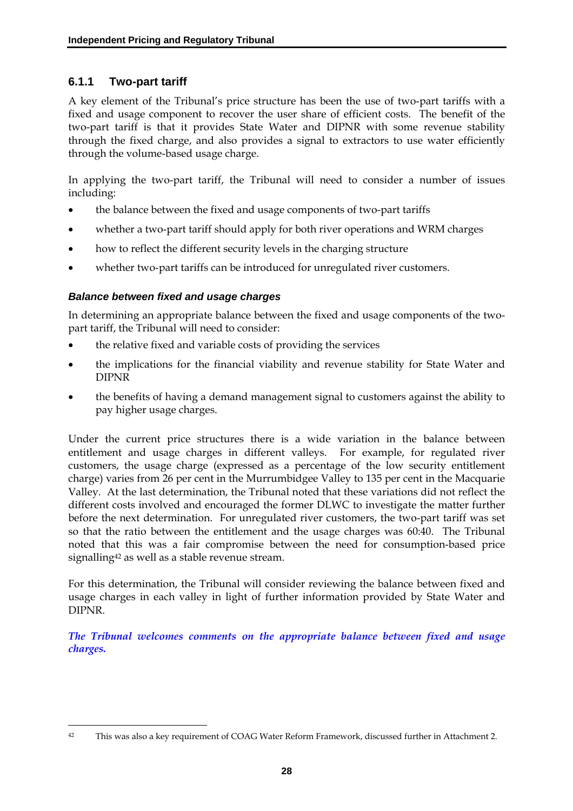### **6.1.1 Two-part tariff**

A key element of the Tribunal's price structure has been the use of two-part tariffs with a fixed and usage component to recover the user share of efficient costs. The benefit of the two-part tariff is that it provides State Water and DIPNR with some revenue stability through the fixed charge, and also provides a signal to extractors to use water efficiently through the volume-based usage charge.

In applying the two-part tariff, the Tribunal will need to consider a number of issues including:

- the balance between the fixed and usage components of two-part tariffs
- whether a two-part tariff should apply for both river operations and WRM charges
- how to reflect the different security levels in the charging structure
- whether two-part tariffs can be introduced for unregulated river customers.

#### *Balance between fixed and usage charges*

In determining an appropriate balance between the fixed and usage components of the twopart tariff, the Tribunal will need to consider:

- the relative fixed and variable costs of providing the services
- the implications for the financial viability and revenue stability for State Water and DIPNR
- the benefits of having a demand management signal to customers against the ability to pay higher usage charges.

Under the current price structures there is a wide variation in the balance between entitlement and usage charges in different valleys. For example, for regulated river customers, the usage charge (expressed as a percentage of the low security entitlement charge) varies from 26 per cent in the Murrumbidgee Valley to 135 per cent in the Macquarie Valley. At the last determination, the Tribunal noted that these variations did not reflect the different costs involved and encouraged the former DLWC to investigate the matter further before the next determination. For unregulated river customers, the two-part tariff was set so that the ratio between the entitlement and the usage charges was 60:40. The Tribunal noted that this was a fair compromise between the need for consumption-based price signalling<sup>42</sup> as well as a stable revenue stream.

For this determination, the Tribunal will consider reviewing the balance between fixed and usage charges in each valley in light of further information provided by State Water and DIPNR.

*The Tribunal welcomes comments on the appropriate balance between fixed and usage charges.* 

 $\overline{a}$ 42 This was also a key requirement of COAG Water Reform Framework, discussed further in Attachment 2.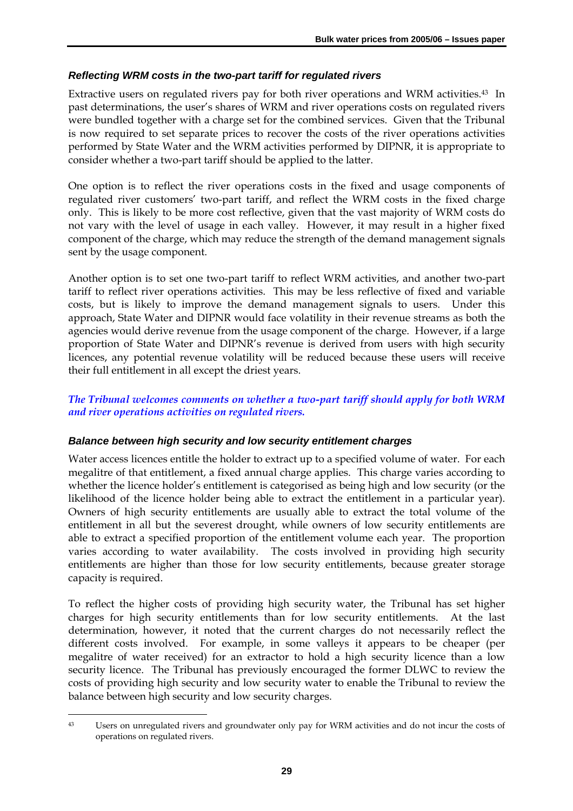#### *Reflecting WRM costs in the two-part tariff for regulated rivers*

Extractive users on regulated rivers pay for both river operations and WRM activities.43 In past determinations, the user's shares of WRM and river operations costs on regulated rivers were bundled together with a charge set for the combined services. Given that the Tribunal is now required to set separate prices to recover the costs of the river operations activities performed by State Water and the WRM activities performed by DIPNR, it is appropriate to consider whether a two-part tariff should be applied to the latter.

One option is to reflect the river operations costs in the fixed and usage components of regulated river customers' two-part tariff, and reflect the WRM costs in the fixed charge only. This is likely to be more cost reflective, given that the vast majority of WRM costs do not vary with the level of usage in each valley. However, it may result in a higher fixed component of the charge, which may reduce the strength of the demand management signals sent by the usage component.

Another option is to set one two-part tariff to reflect WRM activities, and another two-part tariff to reflect river operations activities. This may be less reflective of fixed and variable costs, but is likely to improve the demand management signals to users. Under this approach, State Water and DIPNR would face volatility in their revenue streams as both the agencies would derive revenue from the usage component of the charge. However, if a large proportion of State Water and DIPNR's revenue is derived from users with high security licences, any potential revenue volatility will be reduced because these users will receive their full entitlement in all except the driest years.

#### *The Tribunal welcomes comments on whether a two-part tariff should apply for both WRM and river operations activities on regulated rivers.*

#### *Balance between high security and low security entitlement charges*

Water access licences entitle the holder to extract up to a specified volume of water. For each megalitre of that entitlement, a fixed annual charge applies. This charge varies according to whether the licence holder's entitlement is categorised as being high and low security (or the likelihood of the licence holder being able to extract the entitlement in a particular year). Owners of high security entitlements are usually able to extract the total volume of the entitlement in all but the severest drought, while owners of low security entitlements are able to extract a specified proportion of the entitlement volume each year. The proportion varies according to water availability. The costs involved in providing high security entitlements are higher than those for low security entitlements, because greater storage capacity is required.

To reflect the higher costs of providing high security water, the Tribunal has set higher charges for high security entitlements than for low security entitlements. At the last determination, however, it noted that the current charges do not necessarily reflect the different costs involved. For example, in some valleys it appears to be cheaper (per megalitre of water received) for an extractor to hold a high security licence than a low security licence. The Tribunal has previously encouraged the former DLWC to review the costs of providing high security and low security water to enable the Tribunal to review the balance between high security and low security charges.

 $\overline{a}$ 43 Users on unregulated rivers and groundwater only pay for WRM activities and do not incur the costs of operations on regulated rivers.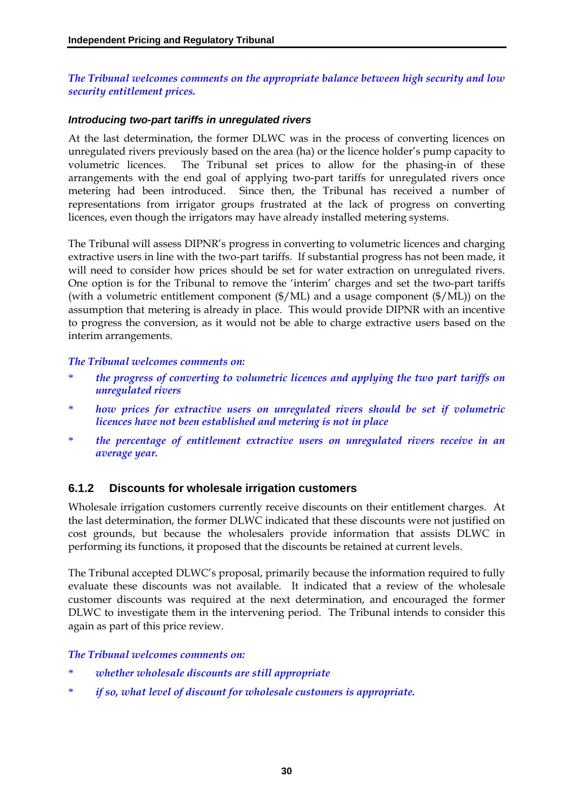#### *The Tribunal welcomes comments on the appropriate balance between high security and low security entitlement prices.*

#### *Introducing two-part tariffs in unregulated rivers*

At the last determination, the former DLWC was in the process of converting licences on unregulated rivers previously based on the area (ha) or the licence holder's pump capacity to volumetric licences. The Tribunal set prices to allow for the phasing-in of these arrangements with the end goal of applying two-part tariffs for unregulated rivers once metering had been introduced. Since then, the Tribunal has received a number of representations from irrigator groups frustrated at the lack of progress on converting licences, even though the irrigators may have already installed metering systems.

The Tribunal will assess DIPNR's progress in converting to volumetric licences and charging extractive users in line with the two-part tariffs. If substantial progress has not been made, it will need to consider how prices should be set for water extraction on unregulated rivers. One option is for the Tribunal to remove the 'interim' charges and set the two-part tariffs (with a volumetric entitlement component (\$/ML) and a usage component (\$/ML)) on the assumption that metering is already in place. This would provide DIPNR with an incentive to progress the conversion, as it would not be able to charge extractive users based on the interim arrangements.

#### *The Tribunal welcomes comments on:*

- \* *the progress of converting to volumetric licences and applying the two part tariffs on unregulated rivers*
- \* *how prices for extractive users on unregulated rivers should be set if volumetric licences have not been established and metering is not in place*
- \* *the percentage of entitlement extractive users on unregulated rivers receive in an average year.*

#### **6.1.2 Discounts for wholesale irrigation customers**

Wholesale irrigation customers currently receive discounts on their entitlement charges. At the last determination, the former DLWC indicated that these discounts were not justified on cost grounds, but because the wholesalers provide information that assists DLWC in performing its functions, it proposed that the discounts be retained at current levels.

The Tribunal accepted DLWC's proposal, primarily because the information required to fully evaluate these discounts was not available. It indicated that a review of the wholesale customer discounts was required at the next determination, and encouraged the former DLWC to investigate them in the intervening period. The Tribunal intends to consider this again as part of this price review.

#### *The Tribunal welcomes comments on:*

- \* *whether wholesale discounts are still appropriate*
- *if so, what level of discount for wholesale customers is appropriate.*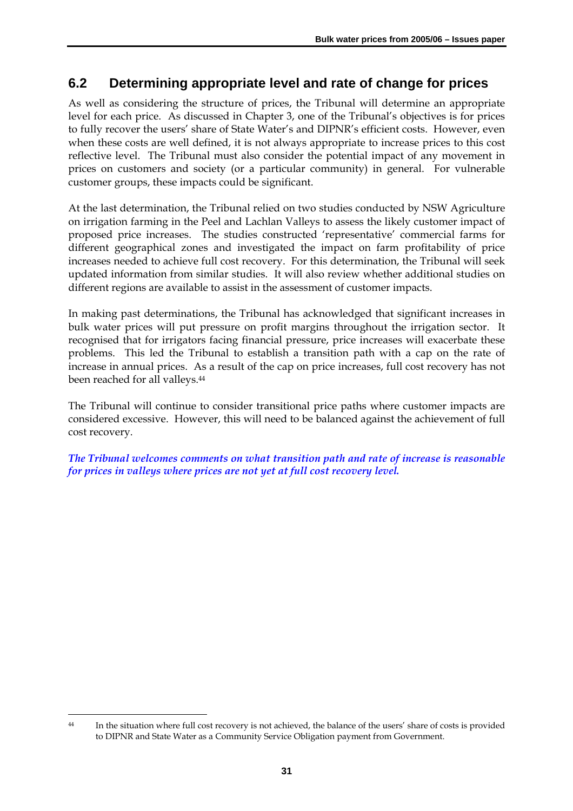### **6.2 Determining appropriate level and rate of change for prices**

As well as considering the structure of prices, the Tribunal will determine an appropriate level for each price. As discussed in Chapter 3, one of the Tribunal's objectives is for prices to fully recover the users' share of State Water's and DIPNR's efficient costs. However, even when these costs are well defined, it is not always appropriate to increase prices to this cost reflective level. The Tribunal must also consider the potential impact of any movement in prices on customers and society (or a particular community) in general. For vulnerable customer groups, these impacts could be significant.

At the last determination, the Tribunal relied on two studies conducted by NSW Agriculture on irrigation farming in the Peel and Lachlan Valleys to assess the likely customer impact of proposed price increases. The studies constructed 'representative' commercial farms for different geographical zones and investigated the impact on farm profitability of price increases needed to achieve full cost recovery. For this determination, the Tribunal will seek updated information from similar studies. It will also review whether additional studies on different regions are available to assist in the assessment of customer impacts.

In making past determinations, the Tribunal has acknowledged that significant increases in bulk water prices will put pressure on profit margins throughout the irrigation sector. It recognised that for irrigators facing financial pressure, price increases will exacerbate these problems. This led the Tribunal to establish a transition path with a cap on the rate of increase in annual prices. As a result of the cap on price increases, full cost recovery has not been reached for all valleys.44

The Tribunal will continue to consider transitional price paths where customer impacts are considered excessive. However, this will need to be balanced against the achievement of full cost recovery.

*The Tribunal welcomes comments on what transition path and rate of increase is reasonable for prices in valleys where prices are not yet at full cost recovery level.* 

 $\overline{a}$ 44 In the situation where full cost recovery is not achieved, the balance of the users' share of costs is provided to DIPNR and State Water as a Community Service Obligation payment from Government.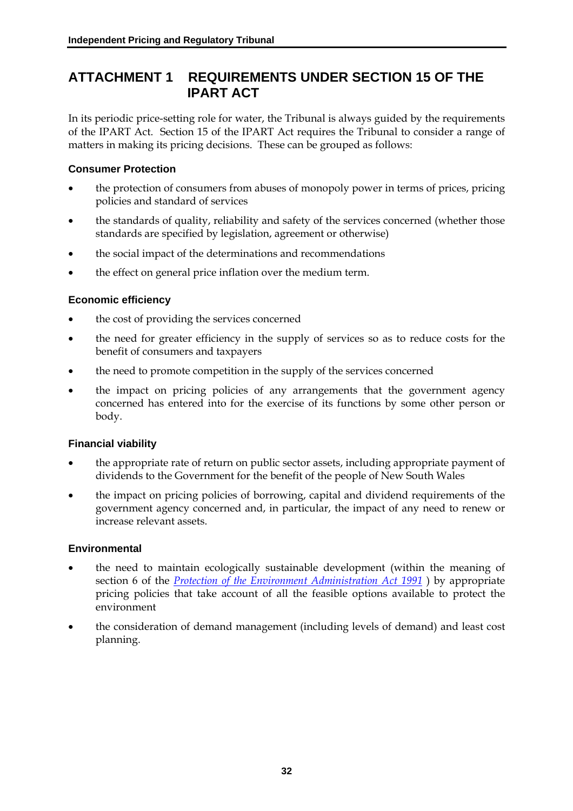### **ATTACHMENT 1 REQUIREMENTS UNDER SECTION 15 OF THE IPART ACT**

In its periodic price-setting role for water, the Tribunal is always guided by the requirements of the IPART Act. Section 15 of the IPART Act requires the Tribunal to consider a range of matters in making its pricing decisions. These can be grouped as follows:

#### **Consumer Protection**

- the protection of consumers from abuses of monopoly power in terms of prices, pricing policies and standard of services
- the standards of quality, reliability and safety of the services concerned (whether those standards are specified by legislation, agreement or otherwise)
- the social impact of the determinations and recommendations
- the effect on general price inflation over the medium term.

#### **Economic efficiency**

- the cost of providing the services concerned
- the need for greater efficiency in the supply of services so as to reduce costs for the benefit of consumers and taxpayers
- the need to promote competition in the supply of the services concerned
- the impact on pricing policies of any arrangements that the government agency concerned has entered into for the exercise of its functions by some other person or body.

#### **Financial viability**

- the appropriate rate of return on public sector assets, including appropriate payment of dividends to the Government for the benefit of the people of New South Wales
- the impact on pricing policies of borrowing, capital and dividend requirements of the government agency concerned and, in particular, the impact of any need to renew or increase relevant assets.

#### **Environmental**

- the need to maintain ecologically sustainable development (within the meaning of section 6 of the *Protection of the Environment Administration Act 1991* ) by appropriate pricing policies that take account of all the feasible options available to protect the environment
- the consideration of demand management (including levels of demand) and least cost planning.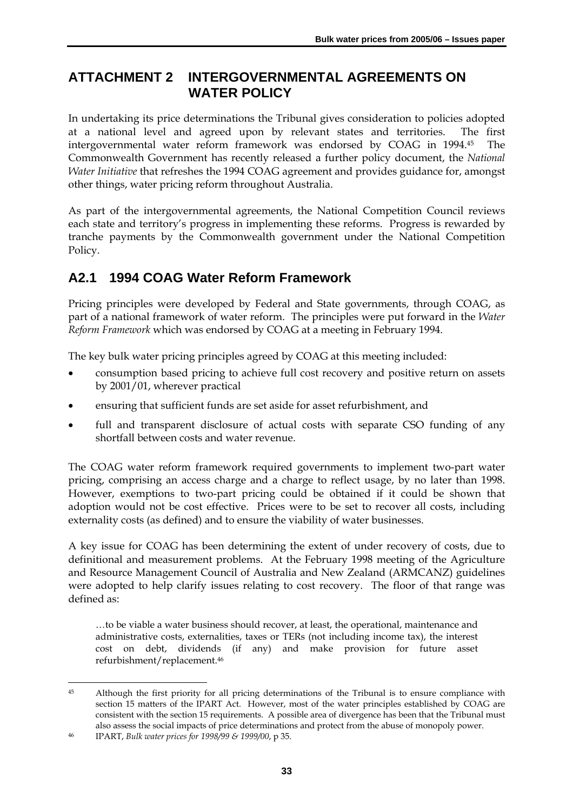### **ATTACHMENT 2 INTERGOVERNMENTAL AGREEMENTS ON WATER POLICY**

In undertaking its price determinations the Tribunal gives consideration to policies adopted at a national level and agreed upon by relevant states and territories. The first intergovernmental water reform framework was endorsed by COAG in 1994.45 The Commonwealth Government has recently released a further policy document, the *National Water Initiative* that refreshes the 1994 COAG agreement and provides guidance for, amongst other things, water pricing reform throughout Australia.

As part of the intergovernmental agreements, the National Competition Council reviews each state and territory's progress in implementing these reforms. Progress is rewarded by tranche payments by the Commonwealth government under the National Competition Policy.

# **A2.1 1994 COAG Water Reform Framework**

Pricing principles were developed by Federal and State governments, through COAG, as part of a national framework of water reform. The principles were put forward in the *Water Reform Framework* which was endorsed by COAG at a meeting in February 1994.

The key bulk water pricing principles agreed by COAG at this meeting included:

- consumption based pricing to achieve full cost recovery and positive return on assets by 2001/01, wherever practical
- ensuring that sufficient funds are set aside for asset refurbishment, and
- full and transparent disclosure of actual costs with separate CSO funding of any shortfall between costs and water revenue.

The COAG water reform framework required governments to implement two-part water pricing, comprising an access charge and a charge to reflect usage, by no later than 1998. However, exemptions to two-part pricing could be obtained if it could be shown that adoption would not be cost effective. Prices were to be set to recover all costs, including externality costs (as defined) and to ensure the viability of water businesses.

A key issue for COAG has been determining the extent of under recovery of costs, due to definitional and measurement problems. At the February 1998 meeting of the Agriculture and Resource Management Council of Australia and New Zealand (ARMCANZ) guidelines were adopted to help clarify issues relating to cost recovery. The floor of that range was defined as:

…to be viable a water business should recover, at least, the operational, maintenance and administrative costs, externalities, taxes or TERs (not including income tax), the interest cost on debt, dividends (if any) and make provision for future asset refurbishment/replacement.46

 $\overline{a}$ 45 Although the first priority for all pricing determinations of the Tribunal is to ensure compliance with section 15 matters of the IPART Act. However, most of the water principles established by COAG are consistent with the section 15 requirements. A possible area of divergence has been that the Tribunal must also assess the social impacts of price determinations and protect from the abuse of monopoly power.

<sup>46</sup> IPART, *Bulk water prices for 1998/99 & 1999/00*, p 35.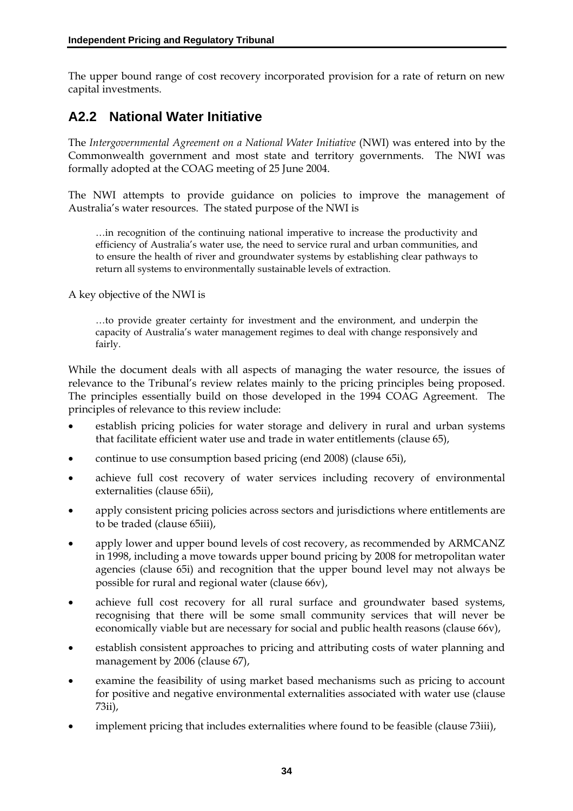The upper bound range of cost recovery incorporated provision for a rate of return on new capital investments.

### **A2.2 National Water Initiative**

The Intergovernmental Agreement on a National Water Initiative (NWI) was entered into by the Commonwealth government and most state and territory governments. The NWI was formally adopted at the COAG meeting of 25 June 2004.

The NWI attempts to provide guidance on policies to improve the management of Australia's water resources. The stated purpose of the NWI is

…in recognition of the continuing national imperative to increase the productivity and efficiency of Australia's water use, the need to service rural and urban communities, and to ensure the health of river and groundwater systems by establishing clear pathways to return all systems to environmentally sustainable levels of extraction.

A key objective of the NWI is

…to provide greater certainty for investment and the environment, and underpin the capacity of Australia's water management regimes to deal with change responsively and fairly.

While the document deals with all aspects of managing the water resource, the issues of relevance to the Tribunal's review relates mainly to the pricing principles being proposed. The principles essentially build on those developed in the 1994 COAG Agreement. The principles of relevance to this review include:

- establish pricing policies for water storage and delivery in rural and urban systems that facilitate efficient water use and trade in water entitlements (clause 65),
- continue to use consumption based pricing (end 2008) (clause 65i),
- achieve full cost recovery of water services including recovery of environmental externalities (clause 65ii),
- apply consistent pricing policies across sectors and jurisdictions where entitlements are to be traded (clause 65iii),
- apply lower and upper bound levels of cost recovery, as recommended by ARMCANZ in 1998, including a move towards upper bound pricing by 2008 for metropolitan water agencies (clause 65i) and recognition that the upper bound level may not always be possible for rural and regional water (clause 66v),
- achieve full cost recovery for all rural surface and groundwater based systems, recognising that there will be some small community services that will never be economically viable but are necessary for social and public health reasons (clause 66v),
- establish consistent approaches to pricing and attributing costs of water planning and management by 2006 (clause 67),
- examine the feasibility of using market based mechanisms such as pricing to account for positive and negative environmental externalities associated with water use (clause 73ii),
- implement pricing that includes externalities where found to be feasible (clause 73iii),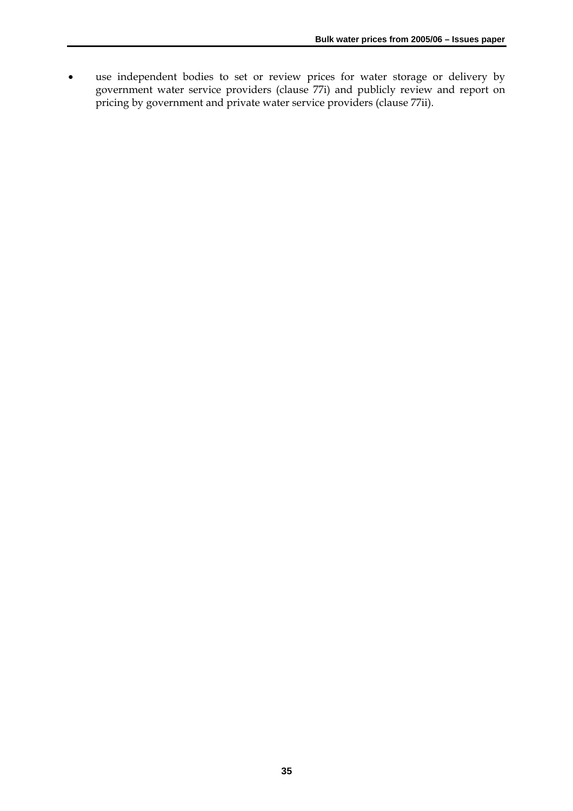• use independent bodies to set or review prices for water storage or delivery by government water service providers (clause 77i) and publicly review and report on pricing by government and private water service providers (clause 77ii).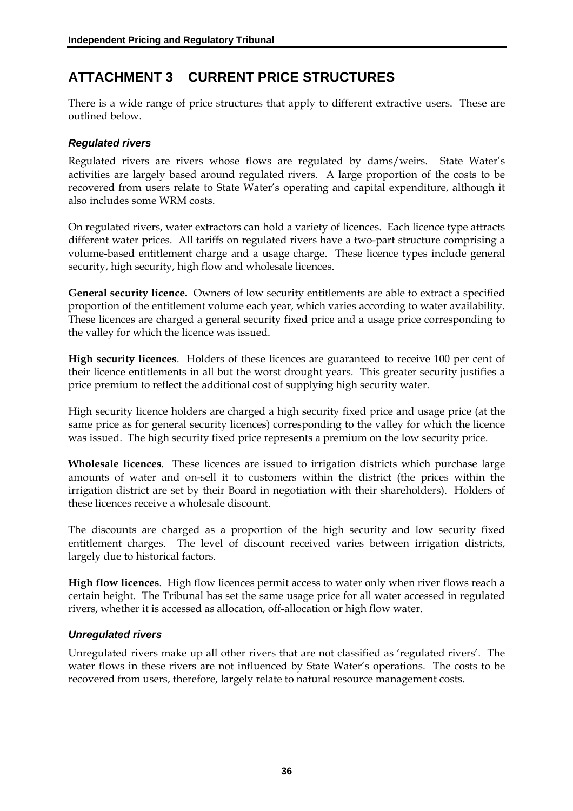# **ATTACHMENT 3 CURRENT PRICE STRUCTURES**

There is a wide range of price structures that apply to different extractive users. These are outlined below.

#### *Regulated rivers*

Regulated rivers are rivers whose flows are regulated by dams/weirs. State Water's activities are largely based around regulated rivers. A large proportion of the costs to be recovered from users relate to State Water's operating and capital expenditure, although it also includes some WRM costs.

On regulated rivers, water extractors can hold a variety of licences. Each licence type attracts different water prices. All tariffs on regulated rivers have a two-part structure comprising a volume-based entitlement charge and a usage charge. These licence types include general security, high security, high flow and wholesale licences.

**General security licence.** Owners of low security entitlements are able to extract a specified proportion of the entitlement volume each year, which varies according to water availability. These licences are charged a general security fixed price and a usage price corresponding to the valley for which the licence was issued.

**High security licences**. Holders of these licences are guaranteed to receive 100 per cent of their licence entitlements in all but the worst drought years. This greater security justifies a price premium to reflect the additional cost of supplying high security water.

High security licence holders are charged a high security fixed price and usage price (at the same price as for general security licences) corresponding to the valley for which the licence was issued. The high security fixed price represents a premium on the low security price.

**Wholesale licences**. These licences are issued to irrigation districts which purchase large amounts of water and on-sell it to customers within the district (the prices within the irrigation district are set by their Board in negotiation with their shareholders). Holders of these licences receive a wholesale discount.

The discounts are charged as a proportion of the high security and low security fixed entitlement charges. The level of discount received varies between irrigation districts, largely due to historical factors.

**High flow licences**. High flow licences permit access to water only when river flows reach a certain height. The Tribunal has set the same usage price for all water accessed in regulated rivers, whether it is accessed as allocation, off-allocation or high flow water.

#### *Unregulated rivers*

Unregulated rivers make up all other rivers that are not classified as 'regulated rivers'. The water flows in these rivers are not influenced by State Water's operations. The costs to be recovered from users, therefore, largely relate to natural resource management costs.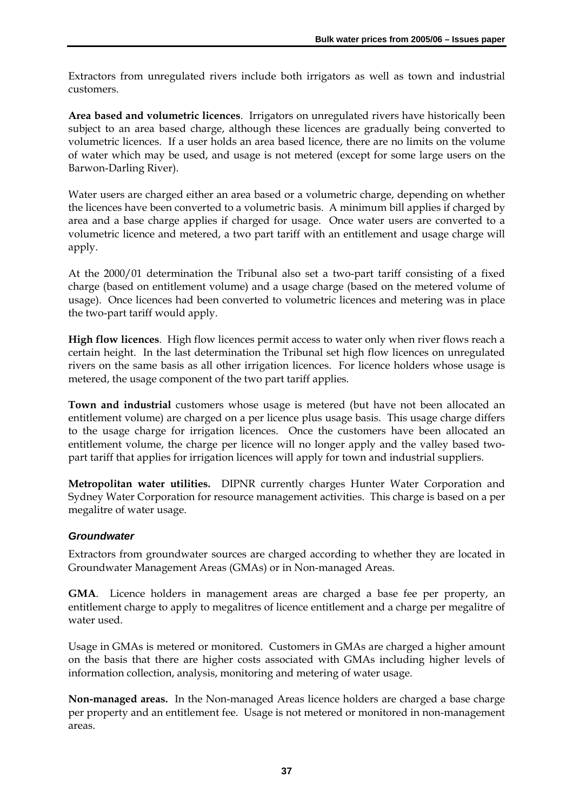Extractors from unregulated rivers include both irrigators as well as town and industrial customers.

**Area based and volumetric licences**. Irrigators on unregulated rivers have historically been subject to an area based charge, although these licences are gradually being converted to volumetric licences. If a user holds an area based licence, there are no limits on the volume of water which may be used, and usage is not metered (except for some large users on the Barwon-Darling River).

Water users are charged either an area based or a volumetric charge, depending on whether the licences have been converted to a volumetric basis. A minimum bill applies if charged by area and a base charge applies if charged for usage. Once water users are converted to a volumetric licence and metered, a two part tariff with an entitlement and usage charge will apply.

At the 2000/01 determination the Tribunal also set a two-part tariff consisting of a fixed charge (based on entitlement volume) and a usage charge (based on the metered volume of usage). Once licences had been converted to volumetric licences and metering was in place the two-part tariff would apply.

**High flow licences**. High flow licences permit access to water only when river flows reach a certain height. In the last determination the Tribunal set high flow licences on unregulated rivers on the same basis as all other irrigation licences. For licence holders whose usage is metered, the usage component of the two part tariff applies.

**Town and industrial** customers whose usage is metered (but have not been allocated an entitlement volume) are charged on a per licence plus usage basis. This usage charge differs to the usage charge for irrigation licences. Once the customers have been allocated an entitlement volume, the charge per licence will no longer apply and the valley based twopart tariff that applies for irrigation licences will apply for town and industrial suppliers.

**Metropolitan water utilities.** DIPNR currently charges Hunter Water Corporation and Sydney Water Corporation for resource management activities. This charge is based on a per megalitre of water usage.

#### *Groundwater*

Extractors from groundwater sources are charged according to whether they are located in Groundwater Management Areas (GMAs) or in Non-managed Areas.

**GMA**. Licence holders in management areas are charged a base fee per property, an entitlement charge to apply to megalitres of licence entitlement and a charge per megalitre of water used.

Usage in GMAs is metered or monitored. Customers in GMAs are charged a higher amount on the basis that there are higher costs associated with GMAs including higher levels of information collection, analysis, monitoring and metering of water usage.

Non-managed areas. In the Non-managed Areas licence holders are charged a base charge per property and an entitlement fee. Usage is not metered or monitored in non-management areas.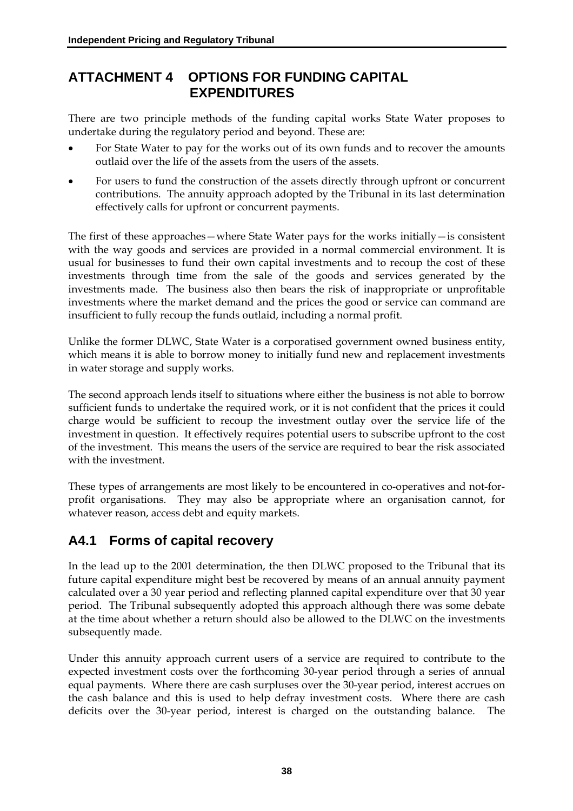# **ATTACHMENT 4 OPTIONS FOR FUNDING CAPITAL EXPENDITURES**

There are two principle methods of the funding capital works State Water proposes to undertake during the regulatory period and beyond. These are:

- For State Water to pay for the works out of its own funds and to recover the amounts outlaid over the life of the assets from the users of the assets.
- For users to fund the construction of the assets directly through upfront or concurrent contributions. The annuity approach adopted by the Tribunal in its last determination effectively calls for upfront or concurrent payments.

The first of these approaches—where State Water pays for the works initially—is consistent with the way goods and services are provided in a normal commercial environment. It is usual for businesses to fund their own capital investments and to recoup the cost of these investments through time from the sale of the goods and services generated by the investments made. The business also then bears the risk of inappropriate or unprofitable investments where the market demand and the prices the good or service can command are insufficient to fully recoup the funds outlaid, including a normal profit.

Unlike the former DLWC, State Water is a corporatised government owned business entity, which means it is able to borrow money to initially fund new and replacement investments in water storage and supply works.

The second approach lends itself to situations where either the business is not able to borrow sufficient funds to undertake the required work, or it is not confident that the prices it could charge would be sufficient to recoup the investment outlay over the service life of the investment in question. It effectively requires potential users to subscribe upfront to the cost of the investment. This means the users of the service are required to bear the risk associated with the investment.

These types of arrangements are most likely to be encountered in co-operatives and not-forprofit organisations. They may also be appropriate where an organisation cannot, for whatever reason, access debt and equity markets.

# **A4.1 Forms of capital recovery**

In the lead up to the 2001 determination, the then DLWC proposed to the Tribunal that its future capital expenditure might best be recovered by means of an annual annuity payment calculated over a 30 year period and reflecting planned capital expenditure over that 30 year period. The Tribunal subsequently adopted this approach although there was some debate at the time about whether a return should also be allowed to the DLWC on the investments subsequently made.

Under this annuity approach current users of a service are required to contribute to the expected investment costs over the forthcoming 30-year period through a series of annual equal payments. Where there are cash surpluses over the 30-year period, interest accrues on the cash balance and this is used to help defray investment costs. Where there are cash deficits over the 30-year period, interest is charged on the outstanding balance. The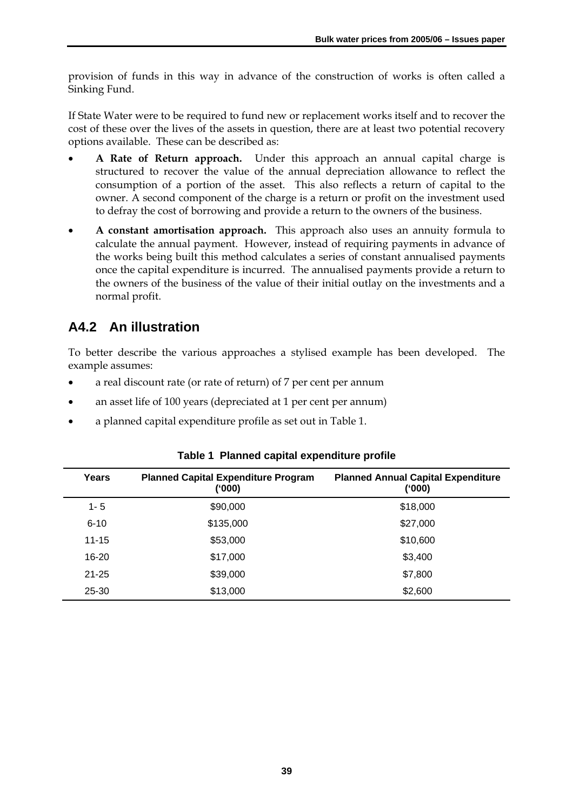provision of funds in this way in advance of the construction of works is often called a Sinking Fund.

If State Water were to be required to fund new or replacement works itself and to recover the cost of these over the lives of the assets in question, there are at least two potential recovery options available. These can be described as:

- **A Rate of Return approach.** Under this approach an annual capital charge is structured to recover the value of the annual depreciation allowance to reflect the consumption of a portion of the asset. This also reflects a return of capital to the owner. A second component of the charge is a return or profit on the investment used to defray the cost of borrowing and provide a return to the owners of the business.
- **A constant amortisation approach.** This approach also uses an annuity formula to calculate the annual payment. However, instead of requiring payments in advance of the works being built this method calculates a series of constant annualised payments once the capital expenditure is incurred. The annualised payments provide a return to the owners of the business of the value of their initial outlay on the investments and a normal profit.

# **A4.2 An illustration**

To better describe the various approaches a stylised example has been developed. The example assumes:

- a real discount rate (or rate of return) of 7 per cent per annum
- an asset life of 100 years (depreciated at 1 per cent per annum)
- a planned capital expenditure profile as set out in Table 1.

| Years     | <b>Planned Capital Expenditure Program</b><br>('000) | <b>Planned Annual Capital Expenditure</b><br>('000) |
|-----------|------------------------------------------------------|-----------------------------------------------------|
| $1 - 5$   | \$90,000                                             | \$18,000                                            |
| $6 - 10$  | \$135,000                                            | \$27,000                                            |
| $11 - 15$ | \$53,000                                             | \$10,600                                            |
| 16-20     | \$17,000                                             | \$3,400                                             |
| $21 - 25$ | \$39,000                                             | \$7,800                                             |
| 25-30     | \$13,000                                             | \$2,600                                             |

|  |  |  | Table 1 Planned capital expenditure profile |  |
|--|--|--|---------------------------------------------|--|
|--|--|--|---------------------------------------------|--|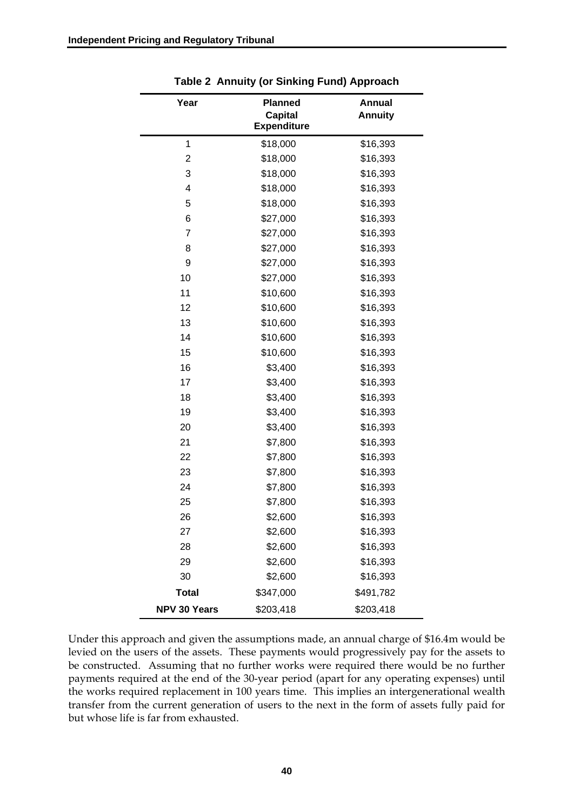| Year                | <b>Planned</b><br><b>Capital</b><br><b>Expenditure</b> | Annual<br><b>Annuity</b> |
|---------------------|--------------------------------------------------------|--------------------------|
| 1                   | \$18,000                                               | \$16,393                 |
| 2                   | \$18,000                                               | \$16,393                 |
| 3                   | \$18,000                                               | \$16,393                 |
| 4                   | \$18,000                                               | \$16,393                 |
| 5                   | \$18,000                                               | \$16,393                 |
| 6                   | \$27,000                                               | \$16,393                 |
| 7                   | \$27,000                                               | \$16,393                 |
| 8                   | \$27,000                                               | \$16,393                 |
| 9                   | \$27,000                                               | \$16,393                 |
| 10                  | \$27,000                                               | \$16,393                 |
| 11                  | \$10,600                                               | \$16,393                 |
| 12                  | \$10,600                                               | \$16,393                 |
| 13                  | \$10,600                                               | \$16,393                 |
| 14                  | \$10,600                                               | \$16,393                 |
| 15                  | \$10,600                                               | \$16,393                 |
| 16                  | \$3,400                                                | \$16,393                 |
| 17                  | \$3,400                                                | \$16,393                 |
| 18                  | \$3,400                                                | \$16,393                 |
| 19                  | \$3,400                                                | \$16,393                 |
| 20                  | \$3,400                                                | \$16,393                 |
| 21                  | \$7,800                                                | \$16,393                 |
| 22                  | \$7,800                                                | \$16,393                 |
| 23                  | \$7,800                                                | \$16,393                 |
| 24                  | \$7,800                                                | \$16,393                 |
| 25                  | \$7,800                                                | \$16,393                 |
| 26                  | \$2,600                                                | \$16,393                 |
| 27                  | \$2,600                                                | \$16,393                 |
| 28                  | \$2,600                                                | \$16,393                 |
| 29                  | \$2,600                                                | \$16,393                 |
| 30                  | \$2,600                                                | \$16,393                 |
| <b>Total</b>        | \$347,000                                              | \$491,782                |
| <b>NPV 30 Years</b> | \$203,418                                              | \$203,418                |

**Table 2 Annuity (or Sinking Fund) Approach** 

Under this approach and given the assumptions made, an annual charge of \$16.4m would be levied on the users of the assets. These payments would progressively pay for the assets to be constructed. Assuming that no further works were required there would be no further payments required at the end of the 30-year period (apart for any operating expenses) until the works required replacement in 100 years time. This implies an intergenerational wealth transfer from the current generation of users to the next in the form of assets fully paid for but whose life is far from exhausted.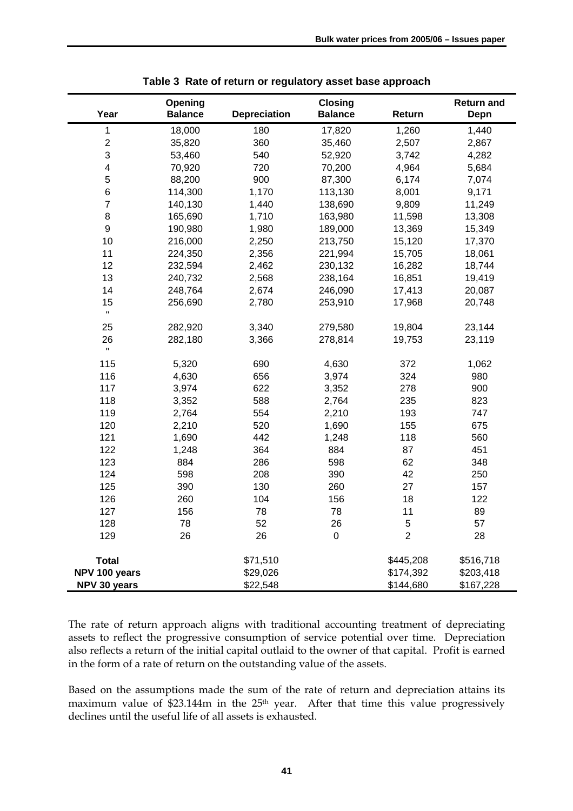| Year           | Opening<br><b>Balance</b> | <b>Depreciation</b> | <b>Closing</b><br><b>Balance</b> | Return         | <b>Return and</b><br>Depn |
|----------------|---------------------------|---------------------|----------------------------------|----------------|---------------------------|
| 1              | 18,000                    | 180                 | 17,820                           | 1,260          | 1,440                     |
| $\overline{c}$ | 35,820                    | 360                 | 35,460                           | 2,507          | 2,867                     |
| 3              | 53,460                    | 540                 | 52,920                           | 3,742          | 4,282                     |
| 4              | 70,920                    | 720                 | 70,200                           | 4,964          | 5,684                     |
| 5              | 88,200                    | 900                 | 87,300                           | 6,174          | 7,074                     |
| 6              | 114,300                   | 1,170               | 113,130                          | 8,001          | 9,171                     |
| $\overline{7}$ | 140,130                   | 1,440               | 138,690                          | 9,809          | 11,249                    |
| 8              | 165,690                   | 1,710               | 163,980                          | 11,598         | 13,308                    |
| 9              | 190,980                   | 1,980               | 189,000                          | 13,369         | 15,349                    |
| 10             | 216,000                   | 2,250               | 213,750                          | 15,120         | 17,370                    |
| 11             | 224,350                   | 2,356               | 221,994                          | 15,705         | 18,061                    |
| 12             | 232,594                   | 2,462               | 230,132                          | 16,282         | 18,744                    |
| 13             | 240,732                   | 2,568               | 238,164                          | 16,851         | 19,419                    |
| 14             | 248,764                   | 2,674               | 246,090                          | 17,413         | 20,087                    |
| 15             | 256,690                   | 2,780               | 253,910                          | 17,968         | 20,748                    |
| $\mathbf H$    |                           |                     |                                  |                |                           |
| 25             | 282,920                   | 3,340               | 279,580                          | 19,804         | 23,144                    |
| 26             | 282,180                   | 3,366               | 278,814                          | 19,753         | 23,119                    |
| Ħ              |                           |                     |                                  |                |                           |
| 115            | 5,320                     | 690                 | 4,630                            | 372            | 1,062                     |
| 116            | 4,630                     | 656                 | 3,974                            | 324            | 980                       |
| 117            | 3,974                     | 622                 | 3,352                            | 278            | 900                       |
| 118            | 3,352                     | 588                 | 2,764                            | 235            | 823                       |
| 119            | 2,764                     | 554                 | 2,210                            | 193            | 747                       |
| 120            | 2,210                     | 520                 | 1,690                            | 155            | 675                       |
| 121            | 1,690                     | 442                 | 1,248                            | 118            | 560                       |
| 122            | 1,248                     | 364                 | 884                              | 87             | 451                       |
| 123            | 884                       | 286                 | 598                              | 62             | 348                       |
| 124            | 598                       | 208                 | 390                              | 42             | 250                       |
| 125            | 390                       | 130                 | 260                              | 27             | 157                       |
| 126            | 260                       | 104                 | 156                              | 18             | 122                       |
| 127            | 156                       | 78                  | 78                               | 11             | 89                        |
| 128            | 78                        | 52                  | 26                               | 5              | 57                        |
| 129            | 26                        | 26                  | 0                                | $\overline{2}$ | 28                        |
| <b>Total</b>   |                           | \$71,510            |                                  | \$445,208      | \$516,718                 |
| NPV 100 years  |                           | \$29,026            |                                  | \$174,392      | \$203,418                 |
| NPV 30 years   |                           | \$22,548            |                                  | \$144,680      | \$167,228                 |

**Table 3 Rate of return or regulatory asset base approach** 

The rate of return approach aligns with traditional accounting treatment of depreciating assets to reflect the progressive consumption of service potential over time. Depreciation also reflects a return of the initial capital outlaid to the owner of that capital. Profit is earned in the form of a rate of return on the outstanding value of the assets.

Based on the assumptions made the sum of the rate of return and depreciation attains its maximum value of \$23.144m in the 25<sup>th</sup> year. After that time this value progressively declines until the useful life of all assets is exhausted.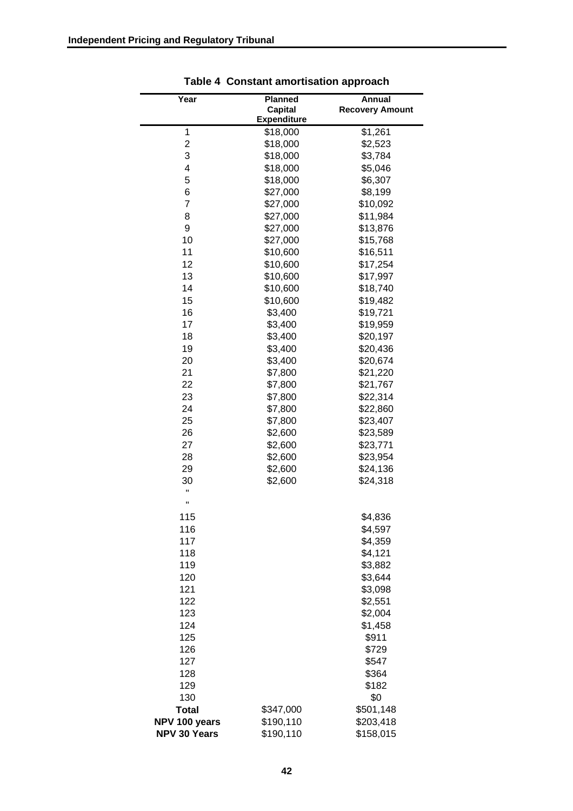| <b>Planned</b><br>Year<br>Annual<br><b>Capital</b><br><b>Recovery Amount</b><br><b>Expenditure</b><br>\$1,261<br>1<br>\$18,000<br>2<br>\$2,523<br>\$18,000<br>3<br>\$18,000<br>\$3,784<br>4<br>\$18,000<br>\$5,046 |  |
|--------------------------------------------------------------------------------------------------------------------------------------------------------------------------------------------------------------------|--|
|                                                                                                                                                                                                                    |  |
|                                                                                                                                                                                                                    |  |
|                                                                                                                                                                                                                    |  |
|                                                                                                                                                                                                                    |  |
|                                                                                                                                                                                                                    |  |
|                                                                                                                                                                                                                    |  |
|                                                                                                                                                                                                                    |  |
| 5<br>\$18,000<br>\$6,307                                                                                                                                                                                           |  |
| 6<br>\$27,000<br>\$8,199                                                                                                                                                                                           |  |
| $\overline{7}$<br>\$10,092<br>\$27,000                                                                                                                                                                             |  |
| \$27,000<br>\$11,984<br>8                                                                                                                                                                                          |  |
| 9<br>\$27,000<br>\$13,876                                                                                                                                                                                          |  |
| 10<br>\$27,000<br>\$15,768                                                                                                                                                                                         |  |
| 11<br>\$10,600<br>\$16,511                                                                                                                                                                                         |  |
| 12<br>\$10,600<br>\$17,254                                                                                                                                                                                         |  |
| 13<br>\$10,600<br>\$17,997                                                                                                                                                                                         |  |
| 14<br>\$18,740                                                                                                                                                                                                     |  |
| \$10,600                                                                                                                                                                                                           |  |
| 15<br>\$10,600<br>\$19,482                                                                                                                                                                                         |  |
| 16<br>\$3,400<br>\$19,721                                                                                                                                                                                          |  |
| 17<br>\$3,400<br>\$19,959                                                                                                                                                                                          |  |
| 18<br>\$3,400<br>\$20,197                                                                                                                                                                                          |  |
| 19<br>\$3,400<br>\$20,436                                                                                                                                                                                          |  |
| 20<br>\$3,400<br>\$20,674                                                                                                                                                                                          |  |
| 21<br>\$7,800<br>\$21,220                                                                                                                                                                                          |  |
| 22<br>\$7,800<br>\$21,767                                                                                                                                                                                          |  |
| 23<br>\$7,800<br>\$22,314                                                                                                                                                                                          |  |
| 24<br>\$7,800<br>\$22,860                                                                                                                                                                                          |  |
| 25<br>\$23,407<br>\$7,800                                                                                                                                                                                          |  |
| 26<br>\$2,600<br>\$23,589                                                                                                                                                                                          |  |
| 27<br>\$2,600<br>\$23,771                                                                                                                                                                                          |  |
| 28<br>\$2,600<br>\$23,954                                                                                                                                                                                          |  |
| 29<br>\$2,600<br>\$24,136                                                                                                                                                                                          |  |
| \$2,600<br>\$24,318<br>30                                                                                                                                                                                          |  |
| н                                                                                                                                                                                                                  |  |
| Ħ                                                                                                                                                                                                                  |  |
| 115<br>\$4,836                                                                                                                                                                                                     |  |
| 116<br>\$4,597                                                                                                                                                                                                     |  |
| 117<br>\$4,359                                                                                                                                                                                                     |  |
| \$4,121<br>118                                                                                                                                                                                                     |  |
| 119<br>\$3,882                                                                                                                                                                                                     |  |
| \$3,644<br>120                                                                                                                                                                                                     |  |
|                                                                                                                                                                                                                    |  |
| \$3,098<br>121                                                                                                                                                                                                     |  |
| \$2,551<br>122                                                                                                                                                                                                     |  |
| 123<br>\$2,004                                                                                                                                                                                                     |  |
| 124<br>\$1,458                                                                                                                                                                                                     |  |
| 125<br>\$911                                                                                                                                                                                                       |  |
| 126<br>\$729                                                                                                                                                                                                       |  |
| 127<br>\$547                                                                                                                                                                                                       |  |
| \$364<br>128                                                                                                                                                                                                       |  |
| \$182<br>129                                                                                                                                                                                                       |  |
| 130<br>\$0                                                                                                                                                                                                         |  |
| <b>Total</b><br>\$501,148<br>\$347,000                                                                                                                                                                             |  |
| NPV 100 years<br>\$190,110<br>\$203,418                                                                                                                                                                            |  |
| NPV 30 Years<br>\$190,110<br>\$158,015                                                                                                                                                                             |  |

**Table 4 Constant amortisation approach**